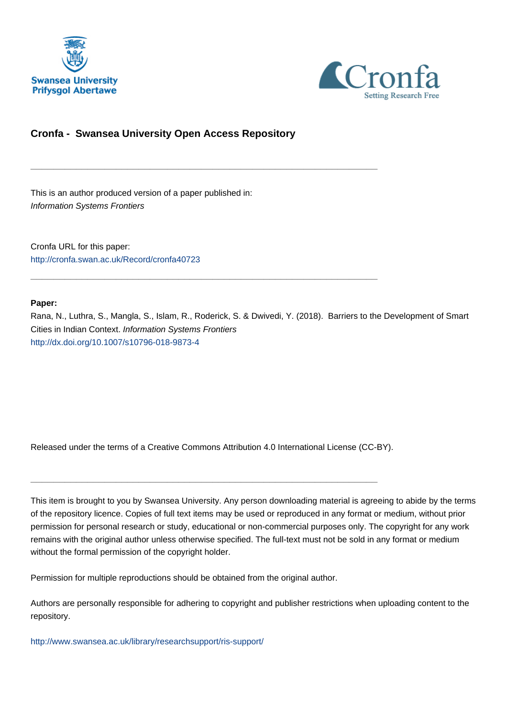



# **Cronfa - Swansea University Open Access Repository**

\_\_\_\_\_\_\_\_\_\_\_\_\_\_\_\_\_\_\_\_\_\_\_\_\_\_\_\_\_\_\_\_\_\_\_\_\_\_\_\_\_\_\_\_\_\_\_\_\_\_\_\_\_\_\_\_\_\_\_\_\_

\_\_\_\_\_\_\_\_\_\_\_\_\_\_\_\_\_\_\_\_\_\_\_\_\_\_\_\_\_\_\_\_\_\_\_\_\_\_\_\_\_\_\_\_\_\_\_\_\_\_\_\_\_\_\_\_\_\_\_\_\_

This is an author produced version of a paper published in: Information Systems Frontiers

Cronfa URL for this paper: <http://cronfa.swan.ac.uk/Record/cronfa40723>

## **Paper:**

Rana, N., Luthra, S., Mangla, S., Islam, R., Roderick, S. & Dwivedi, Y. (2018). Barriers to the Development of Smart Cities in Indian Context. Information Systems Frontiers <http://dx.doi.org/10.1007/s10796-018-9873-4>

Released under the terms of a Creative Commons Attribution 4.0 International License (CC-BY).

\_\_\_\_\_\_\_\_\_\_\_\_\_\_\_\_\_\_\_\_\_\_\_\_\_\_\_\_\_\_\_\_\_\_\_\_\_\_\_\_\_\_\_\_\_\_\_\_\_\_\_\_\_\_\_\_\_\_\_\_\_

This item is brought to you by Swansea University. Any person downloading material is agreeing to abide by the terms of the repository licence. Copies of full text items may be used or reproduced in any format or medium, without prior permission for personal research or study, educational or non-commercial purposes only. The copyright for any work remains with the original author unless otherwise specified. The full-text must not be sold in any format or medium without the formal permission of the copyright holder.

Permission for multiple reproductions should be obtained from the original author.

Authors are personally responsible for adhering to copyright and publisher restrictions when uploading content to the repository.

[http://www.swansea.ac.uk/library/researchsupport/ris-support/](http://www.swansea.ac.uk/library/researchsupport/ris-support/ )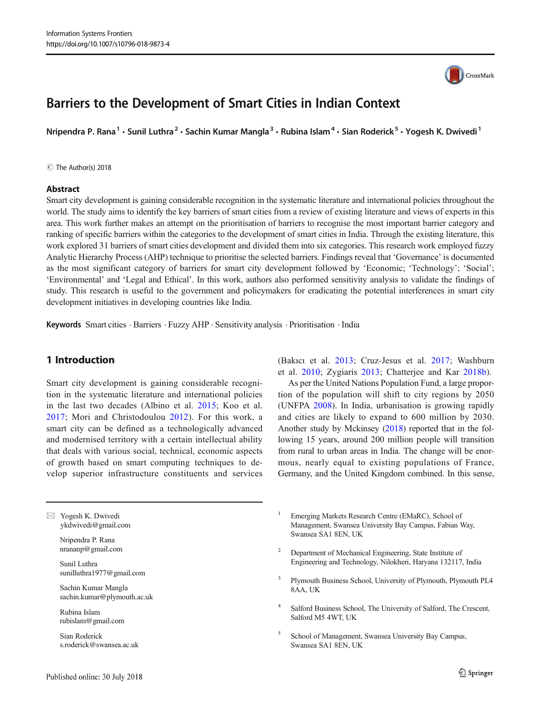

# Barriers to the Development of Smart Cities in Indian Context

Nripendra P. Rana<sup>1</sup> • Sunil Luthra<sup>2</sup> • Sachin Kumar Mangla<sup>3</sup> • Rubina Islam<sup>4</sup> • Sian Roderick<sup>5</sup> • Yogesh K. Dwivedi<sup>1</sup>

C The Author(s) 2018

#### Abstract

Smart city development is gaining considerable recognition in the systematic literature and international policies throughout the world. The study aims to identify the key barriers of smart cities from a review of existing literature and views of experts in this area. This work further makes an attempt on the prioritisation of barriers to recognise the most important barrier category and ranking of specific barriers within the categories to the development of smart cities in India. Through the existing literature, this work explored 31 barriers of smart cities development and divided them into six categories. This research work employed fuzzy Analytic Hierarchy Process (AHP) technique to prioritise the selected barriers. Findings reveal that 'Governance' is documented as the most significant category of barriers for smart city development followed by 'Economic; 'Technology'; 'Social'; 'Environmental' and 'Legal and Ethical'. In this work, authors also performed sensitivity analysis to validate the findings of study. This research is useful to the government and policymakers for eradicating the potential interferences in smart city development initiatives in developing countries like India.

Keywords Smart cities · Barriers · Fuzzy AHP · Sensitivity analysis · Prioritisation · India

# 1 Introduction

Smart city development is gaining considerable recognition in the systematic literature and international policies in the last two decades (Albino et al. 2015; Koo et al. 2017; Mori and Christodoulou 2012). For this work, a smart city can be defined as a technologically advanced and modernised territory with a certain intellectual ability that deals with various social, technical, economic aspects of growth based on smart computing techniques to develop superior infrastructure constituents and services (Bakıcı et al. 2013; Cruz-Jesus et al. 2017; Washburn et al. 2010; Zygiaris 2013; Chatterjee and Kar 2018b).

As per the United Nations Population Fund, a large proportion of the population will shift to city regions by 2050 (UNFPA 2008). In India, urbanisation is growing rapidly and cities are likely to expand to 600 million by 2030. Another study by Mckinsey (2018) reported that in the following 15 years, around 200 million people will transition from rural to urban areas in India. The change will be enormous, nearly equal to existing populations of France, Germany, and the United Kingdom combined. In this sense,

 $\boxtimes$  Yogesh K. Dwivedi ykdwivedi@gmail.com

> Nripendra P. Rana nrananp@gmail.com

Sunil Luthra sunilluthra1977@gmail.com

Sachin Kumar Mangla sachin.kumar@plymouth.ac.uk

Rubina Islam rubislam@gmail.com

Sian Roderick s.roderick@swansea.ac.uk <sup>1</sup> Emerging Markets Research Centre (EMaRC), School of Management, Swansea University Bay Campus, Fabian Way, Swansea SA1 8EN, UK

- <sup>2</sup> Department of Mechanical Engineering, State Institute of Engineering and Technology, Nilokheri, Haryana 132117, India
- <sup>3</sup> Plymouth Business School, University of Plymouth, Plymouth PL4 8AA, UK
- <sup>4</sup> Salford Business School, The University of Salford, The Crescent, Salford M5 4WT, UK
- <sup>5</sup> School of Management, Swansea University Bay Campus, Swansea SA1 8EN, UK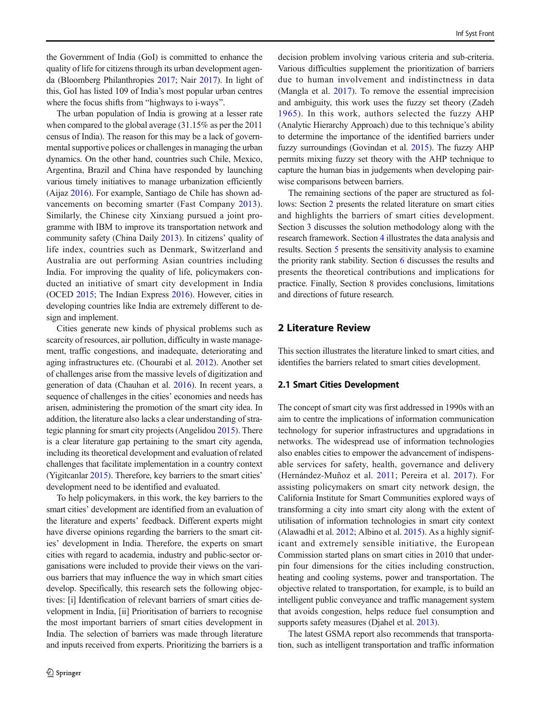the Government of India (GoI) is committed to enhance the quality of life for citizens through its urban development agenda (Bloomberg Philanthropies 2017; Nair 2017). In light of this, GoI has listed 109 of India's most popular urban centres where the focus shifts from "highways to i-ways".

The urban population of India is growing at a lesser rate when compared to the global average (31.15% as per the 2011 census of India). The reason for this may be a lack of governmental supportive polices or challenges in managing the urban dynamics. On the other hand, countries such Chile, Mexico, Argentina, Brazil and China have responded by launching various timely initiatives to manage urbanization efficiently (Aijaz 2016). For example, Santiago de Chile has shown advancements on becoming smarter (Fast Company 2013). Similarly, the Chinese city Xinxiang pursued a joint programme with IBM to improve its transportation network and community safety (China Daily 2013). In citizens' quality of life index, countries such as Denmark, Switzerland and Australia are out performing Asian countries including India. For improving the quality of life, policymakers conducted an initiative of smart city development in India (OCED 2015; The Indian Express 2016). However, cities in developing countries like India are extremely different to design and implement.

Cities generate new kinds of physical problems such as scarcity of resources, air pollution, difficulty in waste management, traffic congestions, and inadequate, deteriorating and aging infrastructures etc. (Chourabi et al. 2012). Another set of challenges arise from the massive levels of digitization and generation of data (Chauhan et al. 2016). In recent years, a sequence of challenges in the cities' economies and needs has arisen, administering the promotion of the smart city idea. In addition, the literature also lacks a clear understanding of strategic planning for smart city projects (Angelidou 2015). There is a clear literature gap pertaining to the smart city agenda, including its theoretical development and evaluation of related challenges that facilitate implementation in a country context (Yigitcanlar 2015). Therefore, key barriers to the smart cities' development need to be identified and evaluated.

To help policymakers, in this work, the key barriers to the smart cities' development are identified from an evaluation of the literature and experts' feedback. Different experts might have diverse opinions regarding the barriers to the smart cities' development in India. Therefore, the experts on smart cities with regard to academia, industry and public-sector organisations were included to provide their views on the various barriers that may influence the way in which smart cities develop. Specifically, this research sets the following objectives: [i] Identification of relevant barriers of smart cities development in India, [ii] Prioritisation of barriers to recognise the most important barriers of smart cities development in India. The selection of barriers was made through literature and inputs received from experts. Prioritizing the barriers is a

decision problem involving various criteria and sub-criteria. Various difficulties supplement the prioritization of barriers due to human involvement and indistinctness in data (Mangla et al. 2017). To remove the essential imprecision and ambiguity, this work uses the fuzzy set theory (Zadeh 1965). In this work, authors selected the fuzzy AHP (Analytic Hierarchy Approach) due to this technique's ability to determine the importance of the identified barriers under fuzzy surroundings (Govindan et al. 2015). The fuzzy AHP permits mixing fuzzy set theory with the AHP technique to capture the human bias in judgements when developing pairwise comparisons between barriers.

The remaining sections of the paper are structured as follows: Section 2 presents the related literature on smart cities and highlights the barriers of smart cities development. Section 3 discusses the solution methodology along with the research framework. Section 4 illustrates the data analysis and results. Section 5 presents the sensitivity analysis to examine the priority rank stability. Section 6 discusses the results and presents the theoretical contributions and implications for practice. Finally, Section 8 provides conclusions, limitations and directions of future research.

## 2 Literature Review

This section illustrates the literature linked to smart cities, and identifies the barriers related to smart cities development.

#### 2.1 Smart Cities Development

The concept of smart city was first addressed in 1990s with an aim to centre the implications of information communication technology for superior infrastructures and upgradations in networks. The widespread use of information technologies also enables cities to empower the advancement of indispensable services for safety, health, governance and delivery (Hernández-Muñoz et al. 2011; Pereira et al. 2017). For assisting policymakers on smart city network design, the California Institute for Smart Communities explored ways of transforming a city into smart city along with the extent of utilisation of information technologies in smart city context (Alawadhi et al. 2012; Albino et al. 2015). As a highly significant and extremely sensible initiative, the European Commission started plans on smart cities in 2010 that underpin four dimensions for the cities including construction, heating and cooling systems, power and transportation. The objective related to transportation, for example, is to build an intelligent public conveyance and traffic management system that avoids congestion, helps reduce fuel consumption and supports safety measures (Djahel et al. 2013).

The latest GSMA report also recommends that transportation, such as intelligent transportation and traffic information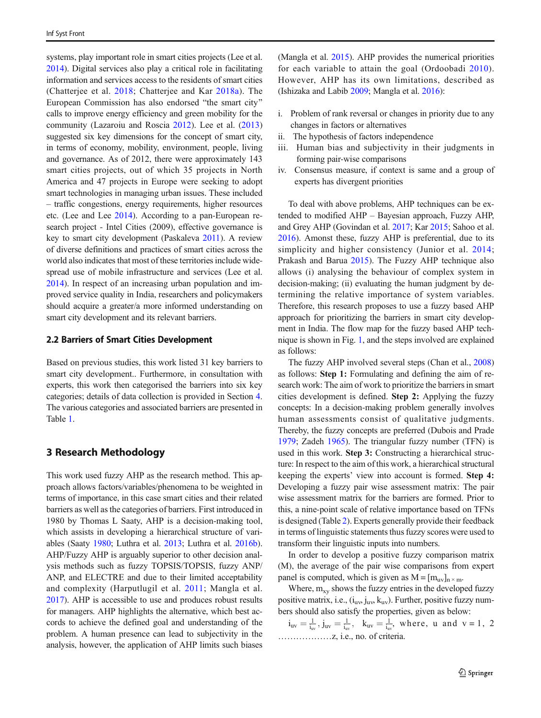systems, play important role in smart cities projects (Lee et al. 2014). Digital services also play a critical role in facilitating information and services access to the residents of smart cities (Chatterjee et al. 2018; Chatterjee and Kar 2018a). The European Commission has also endorsed "the smart city" calls to improve energy efficiency and green mobility for the community (Lazaroiu and Roscia 2012). Lee et al. (2013) suggested six key dimensions for the concept of smart city, in terms of economy, mobility, environment, people, living and governance. As of 2012, there were approximately 143 smart cities projects, out of which 35 projects in North America and 47 projects in Europe were seeking to adopt smart technologies in managing urban issues. These included – traffic congestions, energy requirements, higher resources etc. (Lee and Lee 2014). According to a pan-European research project - Intel Cities (2009), effective governance is key to smart city development (Paskaleva 2011). A review of diverse definitions and practices of smart cities across the world also indicates that most of these territories include widespread use of mobile infrastructure and services (Lee et al. 2014). In respect of an increasing urban population and improved service quality in India, researchers and policymakers should acquire a greater/a more informed understanding on smart city development and its relevant barriers.

#### 2.2 Barriers of Smart Cities Development

Based on previous studies, this work listed 31 key barriers to smart city development.. Furthermore, in consultation with experts, this work then categorised the barriers into six key categories; details of data collection is provided in Section 4. The various categories and associated barriers are presented in Table 1.

# 3 Research Methodology

This work used fuzzy AHP as the research method. This approach allows factors/variables/phenomena to be weighted in terms of importance, in this case smart cities and their related barriers as well as the categories of barriers. First introduced in 1980 by Thomas L Saaty, AHP is a decision-making tool, which assists in developing a hierarchical structure of variables (Saaty 1980; Luthra et al. 2013; Luthra et al. 2016b). AHP/Fuzzy AHP is arguably superior to other decision analysis methods such as fuzzy TOPSIS/TOPSIS, fuzzy ANP/ ANP, and ELECTRE and due to their limited acceptability and complexity (Harputlugil et al. 2011; Mangla et al. 2017). AHP is accessible to use and produces robust results for managers. AHP highlights the alternative, which best accords to achieve the defined goal and understanding of the problem. A human presence can lead to subjectivity in the analysis, however, the application of AHP limits such biases (Mangla et al. 2015). AHP provides the numerical priorities for each variable to attain the goal (Ordoobadi 2010). However, AHP has its own limitations, described as (Ishizaka and Labib 2009; Mangla et al. 2016):

- i. Problem of rank reversal or changes in priority due to any changes in factors or alternatives
- ii. The hypothesis of factors independence
- iii. Human bias and subjectivity in their judgments in forming pair-wise comparisons
- iv. Consensus measure, if context is same and a group of experts has divergent priorities

To deal with above problems, AHP techniques can be extended to modified AHP – Bayesian approach, Fuzzy AHP, and Grey AHP (Govindan et al. 2017; Kar 2015; Sahoo et al. 2016). Amonst these, fuzzy AHP is preferential, due to its simplicity and higher consistency (Junior et al. 2014; Prakash and Barua 2015). The Fuzzy AHP technique also allows (i) analysing the behaviour of complex system in decision-making; (ii) evaluating the human judgment by determining the relative importance of system variables. Therefore, this research proposes to use a fuzzy based AHP approach for prioritizing the barriers in smart city development in India. The flow map for the fuzzy based AHP technique is shown in Fig. 1, and the steps involved are explained as follows:

The fuzzy AHP involved several steps (Chan et al., 2008) as follows: Step 1: Formulating and defining the aim of research work: The aim of work to prioritize the barriers in smart cities development is defined. Step 2: Applying the fuzzy concepts: In a decision-making problem generally involves human assessments consist of qualitative judgments. Thereby, the fuzzy concepts are preferred (Dubois and Prade 1979; Zadeh 1965). The triangular fuzzy number (TFN) is used in this work. Step 3: Constructing a hierarchical structure: In respect to the aim of this work, a hierarchical structural keeping the experts' view into account is formed. Step 4: Developing a fuzzy pair wise assessment matrix: The pair wise assessment matrix for the barriers are formed. Prior to this, a nine-point scale of relative importance based on TFNs is designed (Table 2). Experts generally provide their feedback in terms of linguistic statements thus fuzzy scores were used to transform their linguistic inputs into numbers.

In order to develop a positive fuzzy comparison matrix (M), the average of the pair wise comparisons from expert panel is computed, which is given as  $M = [m_{uv}]_{n \times m}$ .

Where,  $m_{xy}$  shows the fuzzy entries in the developed fuzzy positive matrix, i.e.,  $(i_{uv}, j_{uv}, k_{uv})$ . Further, positive fuzzy numbers should also satisfy the properties, given as below:

 $i_{uv} = \frac{1}{i_{uv}}, j_{uv} = \frac{1}{i_{uv}}, k_{uv} = \frac{1}{i_{uv}}, \text{ where, u and v = 1, 2}$ ………………z, i.e., no. of criteria.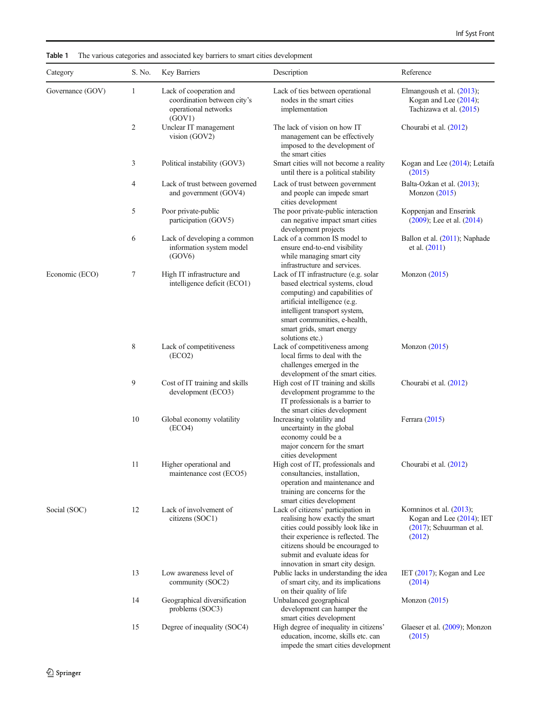| Category         | S. No.         | Key Barriers                                                                             | Description                                                                                                                                                                                                                                                  | Reference                                                                                        |
|------------------|----------------|------------------------------------------------------------------------------------------|--------------------------------------------------------------------------------------------------------------------------------------------------------------------------------------------------------------------------------------------------------------|--------------------------------------------------------------------------------------------------|
| Governance (GOV) | $\mathbf{1}$   | Lack of cooperation and<br>coordination between city's<br>operational networks<br>(GOVI) | Lack of ties between operational<br>nodes in the smart cities<br>implementation                                                                                                                                                                              | Elmangoush et al. (2013);<br>Kogan and Lee (2014);<br>Tachizawa et al. (2015)                    |
|                  | $\overline{2}$ | Unclear IT management<br>vision $(GOV2)$                                                 | The lack of vision on how IT<br>management can be effectively<br>imposed to the development of<br>the smart cities                                                                                                                                           | Chourabi et al. (2012)                                                                           |
|                  | 3              | Political instability (GOV3)                                                             | Smart cities will not become a reality<br>until there is a political stability                                                                                                                                                                               | Kogan and Lee (2014); Letaifa<br>(2015)                                                          |
|                  | 4              | Lack of trust between governed<br>and government (GOV4)                                  | Lack of trust between government<br>and people can impede smart<br>cities development                                                                                                                                                                        | Balta-Ozkan et al. (2013);<br>Monzon $(2015)$                                                    |
|                  | 5              | Poor private-public<br>participation (GOV5)                                              | The poor private-public interaction<br>can negative impact smart cities<br>development projects                                                                                                                                                              | Koppenjan and Enserink<br>$(2009)$ ; Lee et al. $(2014)$                                         |
|                  | 6              | Lack of developing a common<br>information system model<br>(GOV6)                        | Lack of a common IS model to<br>ensure end-to-end visibility<br>while managing smart city<br>infrastructure and services.                                                                                                                                    | Ballon et al. (2011); Naphade<br>et al. (2011)                                                   |
| Economic (ECO)   | 7              | High IT infrastructure and<br>intelligence deficit (ECO1)                                | Lack of IT infrastructure (e.g. solar<br>based electrical systems, cloud<br>computing) and capabilities of<br>artificial intelligence (e.g.<br>intelligent transport system,<br>smart communities, e-health,<br>smart grids, smart energy<br>solutions etc.) | Monzon $(2015)$                                                                                  |
|                  | 8              | Lack of competitiveness<br>(ECO2)                                                        | Lack of competitiveness among<br>local firms to deal with the<br>challenges emerged in the<br>development of the smart cities.                                                                                                                               | Monzon $(2015)$                                                                                  |
|                  | 9              | Cost of IT training and skills<br>development (ECO3)                                     | High cost of IT training and skills<br>development programme to the<br>IT professionals is a barrier to<br>the smart cities development                                                                                                                      | Chourabi et al. (2012)                                                                           |
|                  | 10             | Global economy volatility<br>(ECO4)                                                      | Increasing volatility and<br>uncertainty in the global<br>economy could be a<br>major concern for the smart<br>cities development                                                                                                                            | Ferrara $(2015)$                                                                                 |
|                  | 11             | Higher operational and<br>maintenance cost (ECO5)                                        | High cost of IT, professionals and<br>consultancies, installation,<br>operation and maintenance and<br>training are concerns for the<br>smart cities development                                                                                             | Chourabi et al. (2012)                                                                           |
| Social (SOC)     | 12             | Lack of involvement of<br>citizens (SOC1)                                                | Lack of citizens' participation in<br>realising how exactly the smart<br>cities could possibly look like in<br>their experience is reflected. The<br>citizens should be encouraged to<br>submit and evaluate ideas for<br>innovation in smart city design.   | Komninos et al. $(2013)$ ;<br>Kogan and Lee (2014); IET<br>$(2017)$ ; Schuurman et al.<br>(2012) |
|                  | 13             | Low awareness level of<br>community (SOC2)                                               | Public lacks in understanding the idea<br>of smart city, and its implications<br>on their quality of life                                                                                                                                                    | IET $(2017)$ ; Kogan and Lee<br>(2014)                                                           |
|                  | 14             | Geographical diversification<br>problems (SOC3)                                          | Unbalanced geographical<br>development can hamper the<br>smart cities development                                                                                                                                                                            | Monzon $(2015)$                                                                                  |
|                  | 15             | Degree of inequality (SOC4)                                                              | High degree of inequality in citizens'<br>education, income, skills etc. can                                                                                                                                                                                 | Glaeser et al. (2009); Monzon<br>(2015)                                                          |

education, income, skills etc. can impede the smart cities development

Table 1 The various categories and associated key barriers to smart cities development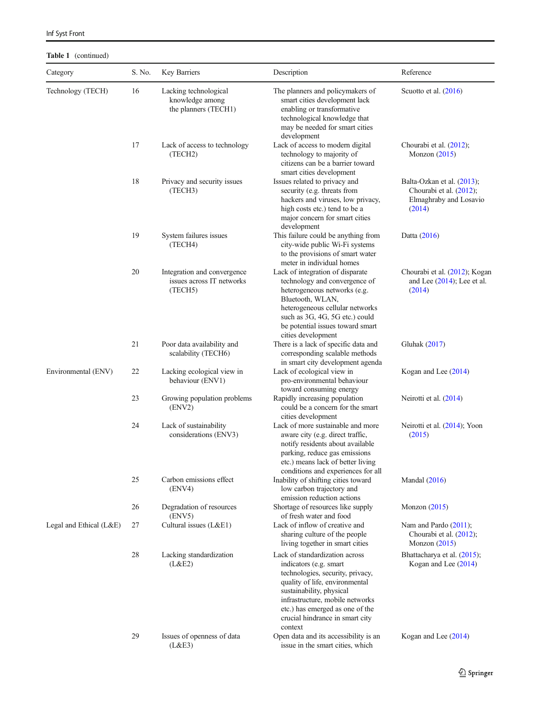|  |  | Inf Syst Front |
|--|--|----------------|
|--|--|----------------|

#### Table 1 (continued)

| Category                | S. No. | Key Barriers                                                        | Description                                                                                                                                                                                                                                                                    | Reference                                                                                 |
|-------------------------|--------|---------------------------------------------------------------------|--------------------------------------------------------------------------------------------------------------------------------------------------------------------------------------------------------------------------------------------------------------------------------|-------------------------------------------------------------------------------------------|
| Technology (TECH)       | 16     | Lacking technological<br>knowledge among<br>the planners (TECH1)    | The planners and policymakers of<br>smart cities development lack<br>enabling or transformative<br>technological knowledge that<br>may be needed for smart cities<br>development                                                                                               | Scuotto et al. $(2016)$                                                                   |
|                         | 17     | Lack of access to technology<br>(TECH <sub>2</sub> )                | Lack of access to modern digital<br>technology to majority of<br>citizens can be a barrier toward<br>smart cities development                                                                                                                                                  | Chourabi et al. (2012);<br>Monzon $(2015)$                                                |
|                         | 18     | Privacy and security issues<br>(TECH3)                              | Issues related to privacy and<br>security (e.g. threats from<br>hackers and viruses, low privacy,<br>high costs etc.) tend to be a<br>major concern for smart cities<br>development                                                                                            | Balta-Ozkan et al. (2013);<br>Chourabi et al. (2012);<br>Elmaghraby and Losavio<br>(2014) |
|                         | 19     | System failures issues<br>(TECH4)                                   | This failure could be anything from<br>city-wide public Wi-Fi systems<br>to the provisions of smart water<br>meter in individual homes                                                                                                                                         | Datta (2016)                                                                              |
|                         | 20     | Integration and convergence<br>issues across IT networks<br>(TECH5) | Lack of integration of disparate<br>technology and convergence of<br>heterogeneous networks (e.g.<br>Bluetooth, WLAN,<br>heterogeneous cellular networks<br>such as 3G, 4G, 5G etc.) could<br>be potential issues toward smart<br>cities development                           | Chourabi et al. (2012); Kogan<br>and Lee $(2014)$ ; Lee et al.<br>(2014)                  |
|                         | 21     | Poor data availability and<br>scalability (TECH6)                   | There is a lack of specific data and<br>corresponding scalable methods<br>in smart city development agenda                                                                                                                                                                     | Gluhak (2017)                                                                             |
| Environmental (ENV)     | 22     | Lacking ecological view in<br>behaviour (ENV1)                      | Lack of ecological view in<br>pro-environmental behaviour<br>toward consuming energy                                                                                                                                                                                           | Kogan and Lee $(2014)$                                                                    |
|                         | 23     | Growing population problems<br>(ENV2)                               | Rapidly increasing population<br>could be a concern for the smart<br>cities development                                                                                                                                                                                        | Neirotti et al. (2014)                                                                    |
|                         | 24     | Lack of sustainability<br>considerations (ENV3)                     | Lack of more sustainable and more<br>aware city (e.g. direct traffic,<br>notify residents about available<br>parking, reduce gas emissions<br>etc.) means lack of better living<br>conditions and experiences for all                                                          | Neirotti et al. (2014); Yoon<br>(2015)                                                    |
|                         | 25     | Carbon emissions effect<br>(ENV4)                                   | Inability of shifting cities toward<br>low carbon trajectory and<br>emission reduction actions                                                                                                                                                                                 | Mandal $(2016)$                                                                           |
|                         | 26     | Degradation of resources<br>(ENV5)                                  | Shortage of resources like supply<br>of fresh water and food                                                                                                                                                                                                                   | Monzon $(2015)$                                                                           |
| Legal and Ethical (L&E) | 27     | Cultural issues (L&E1)                                              | Lack of inflow of creative and<br>sharing culture of the people<br>living together in smart cities                                                                                                                                                                             | Nam and Pardo (2011);<br>Chourabi et al. (2012);<br>Monzon $(2015)$                       |
|                         | 28     | Lacking standardization<br>(L&E2)                                   | Lack of standardization across<br>indicators (e.g. smart<br>technologies, security, privacy,<br>quality of life, environmental<br>sustainability, physical<br>infrastructure, mobile networks<br>etc.) has emerged as one of the<br>crucial hindrance in smart city<br>context | Bhattacharya et al. (2015);<br>Kogan and Lee $(2014)$                                     |
|                         | 29     | Issues of openness of data<br>(L&E3)                                | Open data and its accessibility is an<br>issue in the smart cities, which                                                                                                                                                                                                      | Kogan and Lee $(2014)$                                                                    |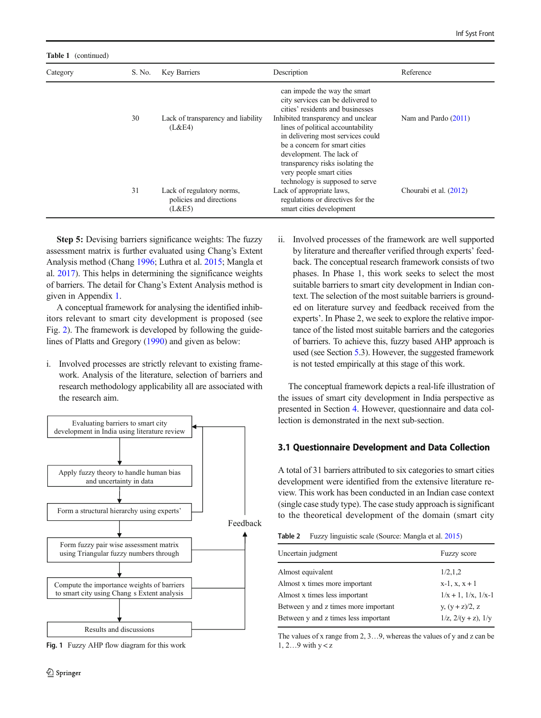Table 1 (continued)

| Category | S. No. | <b>Key Barriers</b>                                            | Description                                                                                                                                                                                                                                                                        | Reference              |
|----------|--------|----------------------------------------------------------------|------------------------------------------------------------------------------------------------------------------------------------------------------------------------------------------------------------------------------------------------------------------------------------|------------------------|
|          | 30     | Lack of transparency and liability<br>(L&E4)                   | can impede the way the smart<br>city services can be delivered to<br>cities' residents and businesses<br>Inhibited transparency and unclear<br>lines of political accountability<br>in delivering most services could<br>be a concern for smart cities<br>development. The lack of | Nam and Pardo (2011)   |
|          | 31     | Lack of regulatory norms,<br>policies and directions<br>(L&E5) | transparency risks isolating the<br>very people smart cities<br>technology is supposed to serve<br>Lack of appropriate laws,<br>regulations or directives for the<br>smart cities development                                                                                      | Chourabi et al. (2012) |

Step 5: Devising barriers significance weights: The fuzzy assessment matrix is further evaluated using Chang's Extent Analysis method (Chang 1996; Luthra et al. 2015; Mangla et al. 2017). This helps in determining the significance weights of barriers. The detail for Chang's Extent Analysis method is given in Appendix 1.

A conceptual framework for analysing the identified inhibitors relevant to smart city development is proposed (see Fig. 2). The framework is developed by following the guidelines of Platts and Gregory (1990) and given as below:

i. Involved processes are strictly relevant to existing framework. Analysis of the literature, selection of barriers and research methodology applicability all are associated with the research aim.



Fig. 1 Fuzzy AHP flow diagram for this work

ii. Involved processes of the framework are well supported by literature and thereafter verified through experts' feedback. The conceptual research framework consists of two phases. In Phase 1, this work seeks to select the most suitable barriers to smart city development in Indian context. The selection of the most suitable barriers is grounded on literature survey and feedback received from the experts'. In Phase 2, we seek to explore the relative importance of the listed most suitable barriers and the categories of barriers. To achieve this, fuzzy based AHP approach is used (see Section 5.3). However, the suggested framework is not tested empirically at this stage of this work.

The conceptual framework depicts a real-life illustration of the issues of smart city development in India perspective as presented in Section 4. However, questionnaire and data collection is demonstrated in the next sub-section.

# 3.1 Questionnaire Development and Data Collection

A total of 31 barriers attributed to six categories to smart cities development were identified from the extensive literature review. This work has been conducted in an Indian case context (single case study type). The case study approach is significant to the theoretical development of the domain (smart city

| Uncertain judgment                   | Fuzzy score                 |
|--------------------------------------|-----------------------------|
| Almost equivalent                    | 1/2, 1, 2                   |
| Almost x times more important        | $x-1, x, x+1$               |
| Almost x times less important        | $1/x + 1$ , $1/x$ , $1/x-1$ |
| Between y and z times more important | y, $(y + z)/2$ , z          |
| Between y and z times less important | $1/z$ , $2/(y + z)$ , $1/y$ |

The values of x range from 2, 3…9, whereas the values of y and z can be 1,  $2...9$  with  $y < z$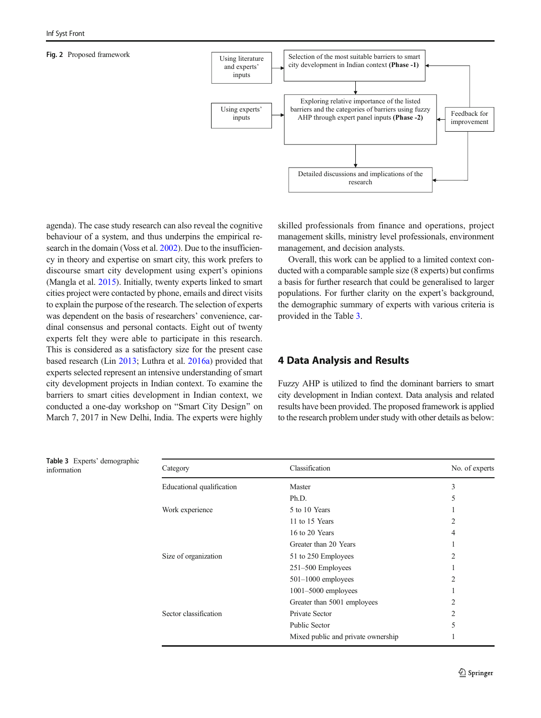#### Fig. 2 Proposed framework



agenda). The case study research can also reveal the cognitive behaviour of a system, and thus underpins the empirical research in the domain (Voss et al. 2002). Due to the insufficiency in theory and expertise on smart city, this work prefers to discourse smart city development using expert's opinions (Mangla et al. 2015). Initially, twenty experts linked to smart cities project were contacted by phone, emails and direct visits to explain the purpose of the research. The selection of experts was dependent on the basis of researchers' convenience, cardinal consensus and personal contacts. Eight out of twenty experts felt they were able to participate in this research. This is considered as a satisfactory size for the present case based research (Lin 2013; Luthra et al. 2016a) provided that experts selected represent an intensive understanding of smart city development projects in Indian context. To examine the barriers to smart cities development in Indian context, we conducted a one-day workshop on "Smart City Design" on March 7, 2017 in New Delhi, India. The experts were highly skilled professionals from finance and operations, project management skills, ministry level professionals, environment management, and decision analysts.

Overall, this work can be applied to a limited context conducted with a comparable sample size (8 experts) but confirms a basis for further research that could be generalised to larger populations. For further clarity on the expert's background, the demographic summary of experts with various criteria is provided in the Table 3.

## 4 Data Analysis and Results

Fuzzy AHP is utilized to find the dominant barriers to smart city development in Indian context. Data analysis and related results have been provided. The proposed framework is applied to the research problem under study with other details as below:

| Table 3 Experts' demographic<br>information | Category                  | Classification                     | No. of experts |
|---------------------------------------------|---------------------------|------------------------------------|----------------|
|                                             | Educational qualification | Master                             | 3              |
|                                             |                           | Ph.D.                              | C              |
|                                             | Work experience           | 5 to 10 Years                      |                |
|                                             |                           | 11 to 15 Years                     | 2              |
|                                             |                           | 16 to 20 Years                     | 4              |
|                                             |                           | Greater than 20 Years              |                |
|                                             | Size of organization      | 51 to 250 Employees                | 2              |
|                                             |                           | 251-500 Employees                  |                |
|                                             |                           | 501-1000 employees                 |                |
|                                             |                           | 1001-5000 employees                |                |
|                                             |                           | Greater than 5001 employees        | 2              |
|                                             | Sector classification     | Private Sector                     | 2              |
|                                             |                           | Public Sector                      | 5              |
|                                             |                           | Mixed public and private ownership |                |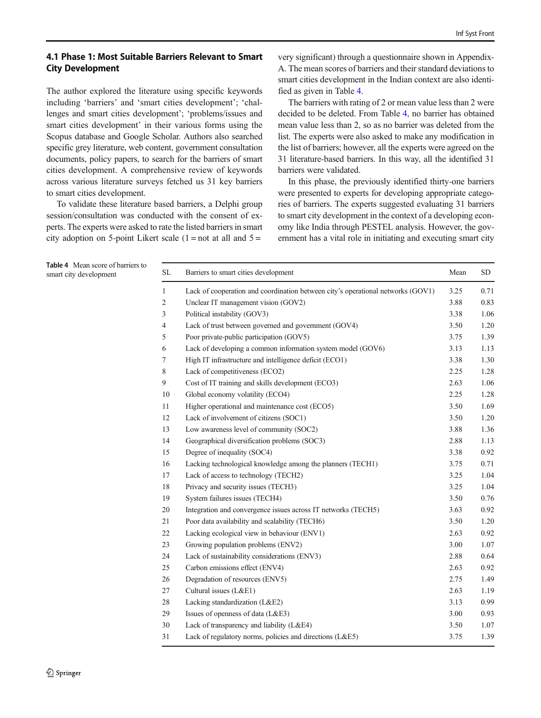## 4.1 Phase 1: Most Suitable Barriers Relevant to Smart City Development

The author explored the literature using specific keywords including 'barriers' and 'smart cities development'; 'challenges and smart cities development'; 'problems/issues and smart cities development' in their various forms using the Scopus database and Google Scholar. Authors also searched specific grey literature, web content, government consultation documents, policy papers, to search for the barriers of smart cities development. A comprehensive review of keywords across various literature surveys fetched us 31 key barriers to smart cities development.

To validate these literature based barriers, a Delphi group session/consultation was conducted with the consent of experts. The experts were asked to rate the listed barriers in smart city adoption on 5-point Likert scale  $(1 = not at all and 5 =$ 

very significant) through a questionnaire shown in Appendix-A. The mean scores of barriers and their standard deviations to smart cities development in the Indian context are also identified as given in Table 4.

The barriers with rating of 2 or mean value less than 2 were decided to be deleted. From Table 4, no barrier has obtained mean value less than 2, so as no barrier was deleted from the list. The experts were also asked to make any modification in the list of barriers; however, all the experts were agreed on the 31 literature-based barriers. In this way, all the identified 31 barriers were validated.

In this phase, the previously identified thirty-one barriers were presented to experts for developing appropriate categories of barriers. The experts suggested evaluating 31 barriers to smart city development in the context of a developing economy like India through PESTEL analysis. However, the government has a vital role in initiating and executing smart city

| <b>SL</b>      | Barriers to smart cities development                                            | Mean | <b>SD</b> |
|----------------|---------------------------------------------------------------------------------|------|-----------|
| $\mathbf{1}$   | Lack of cooperation and coordination between city's operational networks (GOV1) | 3.25 | 0.71      |
| $\overline{2}$ | Unclear IT management vision (GOV2)                                             | 3.88 | 0.83      |
| 3              | Political instability (GOV3)                                                    | 3.38 | 1.06      |
| 4              | Lack of trust between governed and government (GOV4)                            | 3.50 | 1.20      |
| 5              | Poor private-public participation (GOV5)                                        | 3.75 | 1.39      |
| 6              | Lack of developing a common information system model (GOV6)                     | 3.13 | 1.13      |
| 7              | High IT infrastructure and intelligence deficit (ECO1)                          | 3.38 | 1.30      |
| 8              | Lack of competitiveness (ECO2)                                                  | 2.25 | 1.28      |
| 9              | Cost of IT training and skills development (ECO3)                               | 2.63 | 1.06      |
| 10             | Global economy volatility (ECO4)                                                | 2.25 | 1.28      |
| 11             | Higher operational and maintenance cost (ECO5)                                  | 3.50 | 1.69      |
| 12             | Lack of involvement of citizens (SOC1)                                          | 3.50 | 1.20      |
| 13             | Low awareness level of community (SOC2)                                         | 3.88 | 1.36      |
| 14             | Geographical diversification problems (SOC3)                                    | 2.88 | 1.13      |
| 15             | Degree of inequality (SOC4)                                                     | 3.38 | 0.92      |
| 16             | Lacking technological knowledge among the planners (TECH1)                      | 3.75 | 0.71      |
| 17             | Lack of access to technology (TECH2)                                            | 3.25 | 1.04      |
| 18             | Privacy and security issues (TECH3)                                             | 3.25 | 1.04      |
| 19             | System failures issues (TECH4)                                                  | 3.50 | 0.76      |
| 20             | Integration and convergence issues across IT networks (TECH5)                   | 3.63 | 0.92      |
| 21             | Poor data availability and scalability (TECH6)                                  | 3.50 | 1.20      |
| 22             | Lacking ecological view in behaviour (ENV1)                                     | 2.63 | 0.92      |
| 23             | Growing population problems (ENV2)                                              | 3.00 | 1.07      |
| 24             | Lack of sustainability considerations (ENV3)                                    | 2.88 | 0.64      |
| 25             | Carbon emissions effect (ENV4)                                                  | 2.63 | 0.92      |
| 26             | Degradation of resources (ENV5)                                                 | 2.75 | 1.49      |
| 27             | Cultural issues (L&E1)                                                          | 2.63 | 1.19      |
| 28             | Lacking standardization (L&E2)                                                  | 3.13 | 0.99      |
| 29             | Issues of openness of data (L&E3)                                               | 3.00 | 0.93      |
| 30             | Lack of transparency and liability (L&E4)                                       | 3.50 | 1.07      |
| 31             | Lack of regulatory norms, policies and directions (L&E5)                        | 3.75 | 1.39      |
|                |                                                                                 |      |           |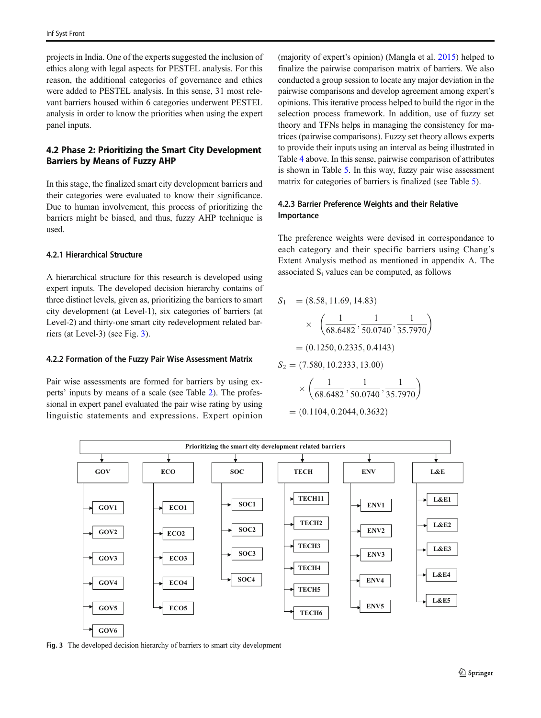projects in India. One of the experts suggested the inclusion of ethics along with legal aspects for PESTEL analysis. For this reason, the additional categories of governance and ethics were added to PESTEL analysis. In this sense, 31 most relevant barriers housed within 6 categories underwent PESTEL analysis in order to know the priorities when using the expert panel inputs.

# 4.2 Phase 2: Prioritizing the Smart City Development Barriers by Means of Fuzzy AHP

In this stage, the finalized smart city development barriers and their categories were evaluated to know their significance. Due to human involvement, this process of prioritizing the barriers might be biased, and thus, fuzzy AHP technique is used.

#### 4.2.1 Hierarchical Structure

A hierarchical structure for this research is developed using expert inputs. The developed decision hierarchy contains of three distinct levels, given as, prioritizing the barriers to smart city development (at Level-1), six categories of barriers (at Level-2) and thirty-one smart city redevelopment related barriers (at Level-3) (see Fig. 3).

#### 4.2.2 Formation of the Fuzzy Pair Wise Assessment Matrix

Pair wise assessments are formed for barriers by using experts' inputs by means of a scale (see Table 2). The professional in expert panel evaluated the pair wise rating by using linguistic statements and expressions. Expert opinion (majority of expert's opinion) (Mangla et al. 2015) helped to finalize the pairwise comparison matrix of barriers. We also conducted a group session to locate any major deviation in the pairwise comparisons and develop agreement among expert's opinions. This iterative process helped to build the rigor in the selection process framework. In addition, use of fuzzy set theory and TFNs helps in managing the consistency for matrices (pairwise comparisons). Fuzzy set theory allows experts to provide their inputs using an interval as being illustrated in Table 4 above. In this sense, pairwise comparison of attributes is shown in Table 5. In this way, fuzzy pair wise assessment matrix for categories of barriers is finalized (see Table 5).

## 4.2.3 Barrier Preference Weights and their Relative Importance

The preference weights were devised in correspondance to each category and their specific barriers using Chang's Extent Analysis method as mentioned in appendix A. The associated  $S_i$  values can be computed, as follows

$$
S_1 = (8.58, 11.69, 14.83)
$$
  
\n
$$
\times \left( \frac{1}{68.6482}, \frac{1}{50.0740}, \frac{1}{35.7970} \right)
$$
  
\n
$$
= (0.1250, 0.2335, 0.4143)
$$
  
\n
$$
S_2 = (7.580, 10.2333, 13.00)
$$
  
\n
$$
\times \left( \frac{1}{68.6482}, \frac{1}{50.0740}, \frac{1}{35.7970} \right)
$$

$$
\quad = (0.1104, 0.2044, 0.3632) \\
$$



Fig. 3 The developed decision hierarchy of barriers to smart city development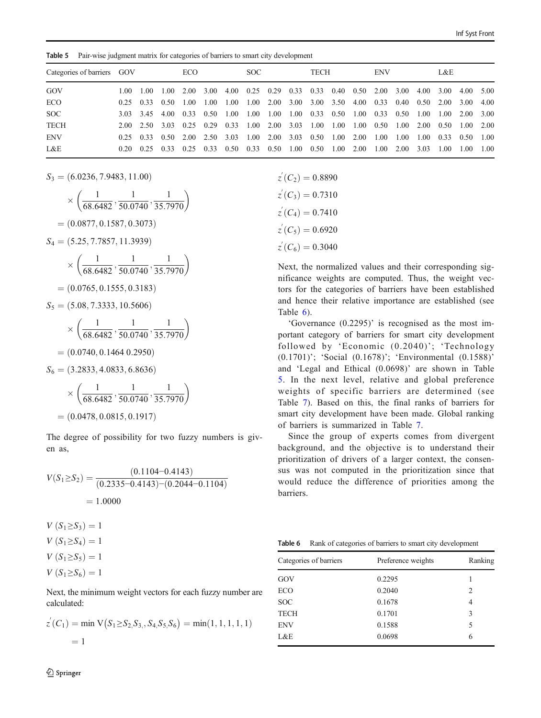Table 5 Pair-wise judgment matrix for categories of barriers to smart city development

| Categories of barriers GOV |                   |                   |      | ECO. |      |           | <b>SOC</b>                   |      |      | TECH      |      |      | <b>ENV</b> |      |                              | L&E  |      |      |
|----------------------------|-------------------|-------------------|------|------|------|-----------|------------------------------|------|------|-----------|------|------|------------|------|------------------------------|------|------|------|
| GOV                        | 1.00.             | 1.00              | 1.00 | 2.00 | 3.00 |           | $4.00 \quad 0.25 \quad 0.29$ |      | 0.33 | 0.33 0.40 |      | 0.50 | 2.00       | 3.00 | 4.00                         | 3.00 | 4.00 | 5.00 |
| ECO                        | $0.25 \quad 0.33$ |                   | 0.50 | 1.00 | 1.00 | 1.00      | 1.00                         | 2.00 | 3.00 | 3.00 3.50 |      | 4.00 | 0.33       |      | $0.40 \quad 0.50 \quad 2.00$ |      | 3.00 | 4.00 |
| <b>SOC</b>                 |                   | $3.03 \quad 3.45$ | 4.00 | 0.33 | 0.50 | 1.00      | 1.00                         | 1.00 | 1.00 | 0.33      | 0.50 | 1.00 | 0.33       | 0.50 | 1.00                         | 1.00 | 2.00 | 3.00 |
| TECH                       |                   | 2.00 2.50         | 3.03 | 0.25 | 0.29 | 0.33      | 1.00                         | 2.00 | 3.03 | 1.00      | 1.00 | 1.00 | 0.50       | 1.00 | 2.00                         | 0.50 | 1.00 | 2.00 |
| <b>ENV</b>                 | 0.25 0.33         |                   | 0.50 | 2.00 | 2.50 | 3.03      | 1.00                         | 2.00 | 3.03 | 0.50      | 1.00 | 2.00 | 1.00       | 1.00 | 1.00                         | 0.33 | 0.50 | 1.00 |
| L&E                        | $0.20 \quad 0.25$ |                   | 0.33 | 0.25 | 0.33 | 0.50 0.33 |                              | 0.50 | 1.00 | 0.50      | 1.00 | 2.00 | 1.00       | 2.00 | 3.03                         | 1.00 | 1.00 | 1.00 |

$$
S_3 = (6.0236, 7.9483, 11.00)
$$
  
\n
$$
\times \left(\frac{1}{68.6482}, \frac{1}{50.0740}, \frac{1}{35.7970}\right)
$$
  
\n
$$
= (0.0877, 0.1587, 0.3073)
$$
  
\n
$$
S_4 = (5.25, 7.7857, 11.3939)
$$
  
\n
$$
\times \left(\frac{1}{68.6482}, \frac{1}{50.0740}, \frac{1}{35.7970}\right)
$$
  
\n
$$
= (0.0765, 0.1555, 0.3183)
$$
  
\n
$$
S_5 = (5.08, 7.3333, 10.5606)
$$
  
\n
$$
\times \left(\frac{1}{68.6482}, \frac{1}{50.0740}, \frac{1}{35.7970}\right)
$$
  
\n
$$
= (0.0740, 0.1464, 0.2950)
$$
  
\n
$$
S_6 = (3.2833, 4.0833, 6.8636)
$$
  
\n
$$
\times \left(\frac{1}{68.6482}, \frac{1}{50.0740}, \frac{1}{35.7970}\right)
$$
  
\n
$$
= (0.0478, 0.0815, 0.1917)
$$

The degree of possibility for two fuzzy numbers is given as,

$$
V(S_1 \ge S_2) = \frac{(0.1104 - 0.4143)}{(0.2335 - 0.4143) - (0.2044 - 0.1104)}
$$
  
= 1.0000

$$
V(S_1 \ge S_3) = 1
$$
  
\n
$$
V(S_1 \ge S_4) = 1
$$
  
\n
$$
V(S_1 \ge S_5) = 1
$$
  
\n
$$
V(S_1 \ge S_6) = 1
$$

Next, the minimum weight vectors for each fuzzy number are calculated:

$$
z'(C_1) = \min V(S_1 \ge S_2, S_3, S_4, S_5, S_6) = \min(1, 1, 1, 1, 1, 1)
$$
  
= 1

 $z^{'}(C_2)=0.8890$  $z^{'}(C_3) = 0.7310$  $z^{'}(C_4)=0.7410$  $z'(C_5) = 0.6920$  $z'(C_6) = 0.3040$ 

Next, the normalized values and their corresponding significance weights are computed. Thus, the weight vectors for the categories of barriers have been established and hence their relative importance are established (see Table 6).

'Governance (0.2295)' is recognised as the most important category of barriers for smart city development followed by 'Economic (0.2040)'; 'Technology (0.1701)'; 'Social (0.1678)'; 'Environmental (0.1588)' and 'Legal and Ethical (0.0698)' are shown in Table 5. In the next level, relative and global preference weights of specific barriers are determined (see Table 7). Based on this, the final ranks of barriers for smart city development have been made. Global ranking of barriers is summarized in Table 7.

Since the group of experts comes from divergent background, and the objective is to understand their prioritization of drivers of a larger context, the consensus was not computed in the prioritization since that would reduce the difference of priorities among the barriers.

| Table 6 Rank of categories of barriers to smart city development |
|------------------------------------------------------------------|
|                                                                  |

| Categories of barriers | Preference weights | Ranking |
|------------------------|--------------------|---------|
| GOV                    | 0.2295             |         |
| ECO                    | 0.2040             | 2       |
| <b>SOC</b>             | 0.1678             | 4       |
| <b>TECH</b>            | 0.1701             | 3       |
| <b>ENV</b>             | 0.1588             | 5       |
| L&E                    | 0.0698             | 6       |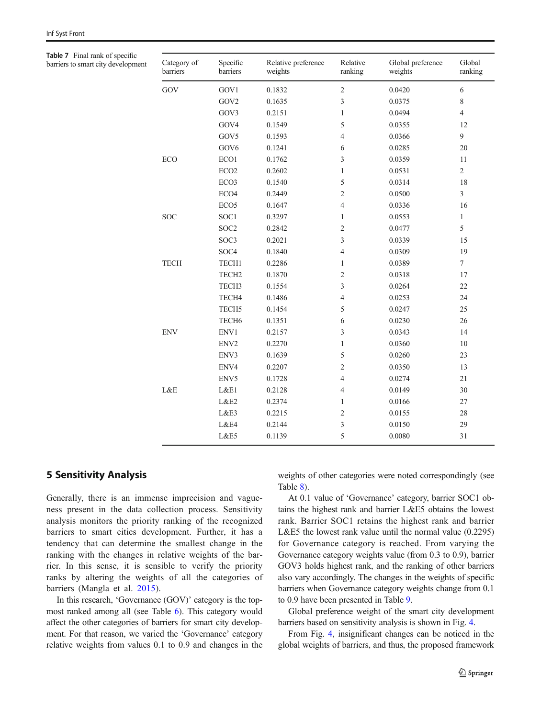Table 7 Final rank of specific barriers to smart city development

| Category of<br>barriers | Specific<br>barriers | Relative preference<br>weights | Relative<br>ranking | Global preference<br>weights | Global<br>ranking |
|-------------------------|----------------------|--------------------------------|---------------------|------------------------------|-------------------|
| GOV                     | GOV1                 | 0.1832                         | $\overline{2}$      | 0.0420                       | 6                 |
|                         | GOV <sub>2</sub>     | 0.1635                         | 3                   | 0.0375                       | 8                 |
|                         | GOV3                 | 0.2151                         | $\mathbf{1}$        | 0.0494                       | $\overline{4}$    |
|                         | GOV4                 | 0.1549                         | 5                   | 0.0355                       | 12                |
|                         | GOV5                 | 0.1593                         | $\overline{4}$      | 0.0366                       | 9                 |
|                         | GOV <sub>6</sub>     | 0.1241                         | 6                   | 0.0285                       | 20                |
| ECO                     | ECO1                 | 0.1762                         | 3                   | 0.0359                       | 11                |
|                         | ECO <sub>2</sub>     | 0.2602                         | 1                   | 0.0531                       | $\overline{2}$    |
|                         | ECO <sub>3</sub>     | 0.1540                         | 5                   | 0.0314                       | 18                |
|                         | ECO <sub>4</sub>     | 0.2449                         | $\overline{c}$      | 0.0500                       | $\overline{3}$    |
|                         | ECO <sub>5</sub>     | 0.1647                         | $\overline{4}$      | 0.0336                       | 16                |
| SOC                     | SOC1                 | 0.3297                         | $\mathbf{1}$        | 0.0553                       | $\mathbf{1}$      |
|                         | SOC <sub>2</sub>     | 0.2842                         | $\overline{c}$      | 0.0477                       | 5                 |
|                         | SOC3                 | 0.2021                         | 3                   | 0.0339                       | 15                |
|                         | SOC <sub>4</sub>     | 0.1840                         | $\overline{4}$      | 0.0309                       | 19                |
| <b>TECH</b>             | TECH1                | 0.2286                         | $\mathbf{1}$        | 0.0389                       | $7\overline{ }$   |
|                         | TECH <sub>2</sub>    | 0.1870                         | $\overline{c}$      | 0.0318                       | 17                |
|                         | TECH3                | 0.1554                         | 3                   | 0.0264                       | 22                |
|                         | TECH4                | 0.1486                         | $\overline{4}$      | 0.0253                       | 24                |
|                         | TECH <sub>5</sub>    | 0.1454                         | 5                   | 0.0247                       | 25                |
|                         | TECH <sub>6</sub>    | 0.1351                         | 6                   | 0.0230                       | 26                |
| <b>ENV</b>              | ENV1                 | 0.2157                         | 3                   | 0.0343                       | 14                |
|                         | ENV <sub>2</sub>     | 0.2270                         | $\mathbf{1}$        | 0.0360                       | 10                |
|                         | ENV3                 | 0.1639                         | 5                   | 0.0260                       | 23                |
|                         | ENV4                 | 0.2207                         | $\overline{c}$      | 0.0350                       | 13                |
|                         | ENV5                 | 0.1728                         | $\overline{4}$      | 0.0274                       | 21                |
| L&E                     | L&E1                 | 0.2128                         | $\overline{4}$      | 0.0149                       | 30                |
|                         | L&E2                 | 0.2374                         | $\mathbf{1}$        | 0.0166                       | 27                |
|                         | L&E3                 | 0.2215                         | $\overline{c}$      | 0.0155                       | 28                |
|                         | L&E4                 | 0.2144                         | 3                   | 0.0150                       | 29                |
|                         | L&E5                 | 0.1139                         | 5                   | 0.0080                       | 31                |

## 5 Sensitivity Analysis

Generally, there is an immense imprecision and vagueness present in the data collection process. Sensitivity analysis monitors the priority ranking of the recognized barriers to smart cities development. Further, it has a tendency that can determine the smallest change in the ranking with the changes in relative weights of the barrier. In this sense, it is sensible to verify the priority ranks by altering the weights of all the categories of barriers (Mangla et al. 2015).

In this research, 'Governance (GOV)' category is the topmost ranked among all (see Table 6). This category would affect the other categories of barriers for smart city development. For that reason, we varied the 'Governance' category relative weights from values 0.1 to 0.9 and changes in the weights of other categories were noted correspondingly (see Table 8).

At 0.1 value of 'Governance' category, barrier SOC1 obtains the highest rank and barrier L&E5 obtains the lowest rank. Barrier SOC1 retains the highest rank and barrier L&E5 the lowest rank value until the normal value (0.2295) for Governance category is reached. From varying the Governance category weights value (from 0.3 to 0.9), barrier GOV3 holds highest rank, and the ranking of other barriers also vary accordingly. The changes in the weights of specific barriers when Governance category weights change from 0.1 to 0.9 have been presented in Table 9.

Global preference weight of the smart city development barriers based on sensitivity analysis is shown in Fig. 4.

From Fig. 4, insignificant changes can be noticed in the global weights of barriers, and thus, the proposed framework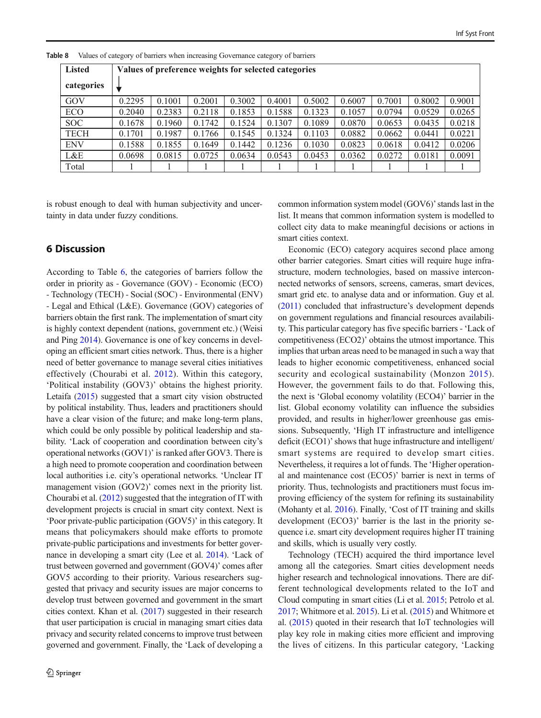| <b>Listed</b> | Values of preference weights for selected categories |        |        |        |        |        |        |        |        |        |
|---------------|------------------------------------------------------|--------|--------|--------|--------|--------|--------|--------|--------|--------|
| categories    |                                                      |        |        |        |        |        |        |        |        |        |
| GOV           | 0.2295                                               | 0.1001 | 0.2001 | 0.3002 | 0.4001 | 0.5002 | 0.6007 | 0.7001 | 0.8002 | 0.9001 |
| ECO           | 0.2040                                               | 0.2383 | 0.2118 | 0.1853 | 0.1588 | 0.1323 | 0.1057 | 0.0794 | 0.0529 | 0.0265 |
| SOC.          | 0.1678                                               | 0.1960 | 0.1742 | 0.1524 | 0.1307 | 0.1089 | 0.0870 | 0.0653 | 0.0435 | 0.0218 |
| <b>TECH</b>   | 0.1701                                               | 0.1987 | 0.1766 | 0.1545 | 0.1324 | 0.1103 | 0.0882 | 0.0662 | 0.0441 | 0.0221 |
| <b>ENV</b>    | 0.1588                                               | 0.1855 | 0.1649 | 0.1442 | 0.1236 | 0.1030 | 0.0823 | 0.0618 | 0.0412 | 0.0206 |
| L&E           | 0.0698                                               | 0.0815 | 0.0725 | 0.0634 | 0.0543 | 0.0453 | 0.0362 | 0.0272 | 0.0181 | 0.0091 |
| Total         |                                                      |        |        |        |        |        |        |        |        |        |

Table 8 Values of category of barriers when increasing Governance category of barriers

is robust enough to deal with human subjectivity and uncertainty in data under fuzzy conditions.

#### 6 Discussion

According to Table 6, the categories of barriers follow the order in priority as - Governance (GOV) - Economic (ECO) - Technology (TECH) - Social (SOC) - Environmental (ENV) - Legal and Ethical (L&E). Governance (GOV) categories of barriers obtain the first rank. The implementation of smart city is highly context dependent (nations, government etc.) (Weisi and Ping 2014). Governance is one of key concerns in developing an efficient smart cities network. Thus, there is a higher need of better governance to manage several cities initiatives effectively (Chourabi et al. 2012). Within this category, 'Political instability (GOV3)' obtains the highest priority. Letaifa (2015) suggested that a smart city vision obstructed by political instability. Thus, leaders and practitioners should have a clear vision of the future; and make long-term plans, which could be only possible by political leadership and stability. 'Lack of cooperation and coordination between city's operational networks (GOV1)' is ranked after GOV3. There is a high need to promote cooperation and coordination between local authorities i.e. city's operational networks. 'Unclear IT management vision (GOV2)' comes next in the priority list. Chourabi et al. (2012) suggested that the integration of IT with development projects is crucial in smart city context. Next is 'Poor private-public participation (GOV5)' in this category. It means that policymakers should make efforts to promote private-public participations and investments for better governance in developing a smart city (Lee et al. 2014). 'Lack of trust between governed and government (GOV4)' comes after GOV5 according to their priority. Various researchers suggested that privacy and security issues are major concerns to develop trust between governed and government in the smart cities context. Khan et al. (2017) suggested in their research that user participation is crucial in managing smart cities data privacy and security related concerns to improve trust between governed and government. Finally, the 'Lack of developing a

common information system model (GOV6)' stands last in the list. It means that common information system is modelled to collect city data to make meaningful decisions or actions in smart cities context.

Economic (ECO) category acquires second place among other barrier categories. Smart cities will require huge infrastructure, modern technologies, based on massive interconnected networks of sensors, screens, cameras, smart devices, smart grid etc. to analyse data and or information. Guy et al. (2011) concluded that infrastructure's development depends on government regulations and financial resources availability. This particular category has five specific barriers - 'Lack of competitiveness (ECO2)' obtains the utmost importance. This implies that urban areas need to be managed in such a way that leads to higher economic competitiveness, enhanced social security and ecological sustainability (Monzon 2015). However, the government fails to do that. Following this, the next is 'Global economy volatility (ECO4)' barrier in the list. Global economy volatility can influence the subsidies provided, and results in higher/lower greenhouse gas emissions. Subsequently, 'High IT infrastructure and intelligence deficit (ECO1)' shows that huge infrastructure and intelligent/ smart systems are required to develop smart cities. Nevertheless, it requires a lot of funds. The 'Higher operational and maintenance cost (ECO5)' barrier is next in terms of priority. Thus, technologists and practitioners must focus improving efficiency of the system for refining its sustainability (Mohanty et al. 2016). Finally, 'Cost of IT training and skills development (ECO3)' barrier is the last in the priority sequence i.e. smart city development requires higher IT training and skills, which is usually very costly.

Technology (TECH) acquired the third importance level among all the categories. Smart cities development needs higher research and technological innovations. There are different technological developments related to the IoT and Cloud computing in smart cities (Li et al. 2015; Petrolo et al. 2017; Whitmore et al. 2015). Li et al. (2015) and Whitmore et al. (2015) quoted in their research that IoT technologies will play key role in making cities more efficient and improving the lives of citizens. In this particular category, 'Lacking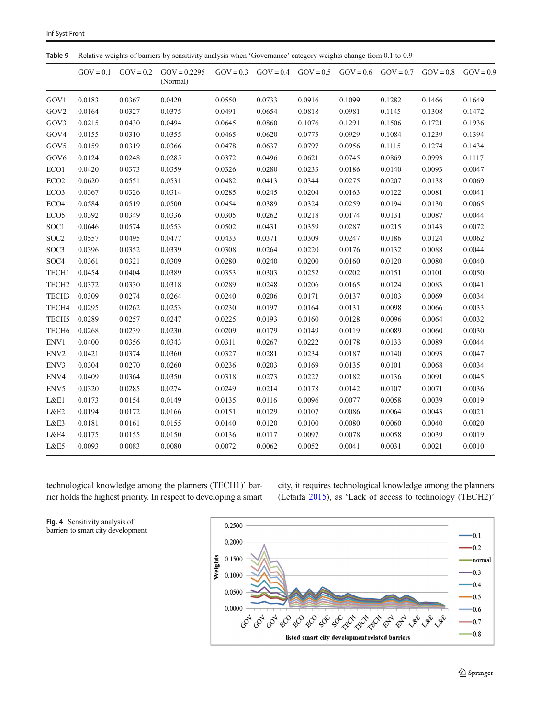| Inf Syst Front |  |
|----------------|--|
|----------------|--|

Table 9 Relative weights of barriers by sensitivity analysis when 'Governance' category weights change from 0.1 to 0.9

|                   | $GOV = 0.1$ | $GOV = 0.2$ | $GOV = 0.2295$<br>(Normal) | $GOV = 0.3$ |        | $GOV = 0.4$ $GOV = 0.5$ | $GOV = 0.6$ | $GOV = 0.7$ | $GOV = 0.8$ | $GOV = 0.9$ |
|-------------------|-------------|-------------|----------------------------|-------------|--------|-------------------------|-------------|-------------|-------------|-------------|
| GOV1              | 0.0183      | 0.0367      | 0.0420                     | 0.0550      | 0.0733 | 0.0916                  | 0.1099      | 0.1282      | 0.1466      | 0.1649      |
| GOV2              | 0.0164      | 0.0327      | 0.0375                     | 0.0491      | 0.0654 | 0.0818                  | 0.0981      | 0.1145      | 0.1308      | 0.1472      |
| GOV3              | 0.0215      | 0.0430      | 0.0494                     | 0.0645      | 0.0860 | 0.1076                  | 0.1291      | 0.1506      | 0.1721      | 0.1936      |
| GOV4              | 0.0155      | 0.0310      | 0.0355                     | 0.0465      | 0.0620 | 0.0775                  | 0.0929      | 0.1084      | 0.1239      | 0.1394      |
| GOV <sub>5</sub>  | 0.0159      | 0.0319      | 0.0366                     | 0.0478      | 0.0637 | 0.0797                  | 0.0956      | 0.1115      | 0.1274      | 0.1434      |
| GOV <sub>6</sub>  | 0.0124      | 0.0248      | 0.0285                     | 0.0372      | 0.0496 | 0.0621                  | 0.0745      | 0.0869      | 0.0993      | 0.1117      |
| ECO1              | 0.0420      | 0.0373      | 0.0359                     | 0.0326      | 0.0280 | 0.0233                  | 0.0186      | 0.0140      | 0.0093      | 0.0047      |
| ECO <sub>2</sub>  | 0.0620      | 0.0551      | 0.0531                     | 0.0482      | 0.0413 | 0.0344                  | 0.0275      | 0.0207      | 0.0138      | 0.0069      |
| ECO <sub>3</sub>  | 0.0367      | 0.0326      | 0.0314                     | 0.0285      | 0.0245 | 0.0204                  | 0.0163      | 0.0122      | 0.0081      | 0.0041      |
| ECO4              | 0.0584      | 0.0519      | 0.0500                     | 0.0454      | 0.0389 | 0.0324                  | 0.0259      | 0.0194      | 0.0130      | 0.0065      |
| ECO <sub>5</sub>  | 0.0392      | 0.0349      | 0.0336                     | 0.0305      | 0.0262 | 0.0218                  | 0.0174      | 0.0131      | 0.0087      | 0.0044      |
| SOC <sub>1</sub>  | 0.0646      | 0.0574      | 0.0553                     | 0.0502      | 0.0431 | 0.0359                  | 0.0287      | 0.0215      | 0.0143      | 0.0072      |
| SOC <sub>2</sub>  | 0.0557      | 0.0495      | 0.0477                     | 0.0433      | 0.0371 | 0.0309                  | 0.0247      | 0.0186      | 0.0124      | 0.0062      |
| SOC3              | 0.0396      | 0.0352      | 0.0339                     | 0.0308      | 0.0264 | 0.0220                  | 0.0176      | 0.0132      | 0.0088      | 0.0044      |
| SOC <sub>4</sub>  | 0.0361      | 0.0321      | 0.0309                     | 0.0280      | 0.0240 | 0.0200                  | 0.0160      | 0.0120      | 0.0080      | 0.0040      |
| TECH1             | 0.0454      | 0.0404      | 0.0389                     | 0.0353      | 0.0303 | 0.0252                  | 0.0202      | 0.0151      | 0.0101      | 0.0050      |
| TECH <sub>2</sub> | 0.0372      | 0.0330      | 0.0318                     | 0.0289      | 0.0248 | 0.0206                  | 0.0165      | 0.0124      | 0.0083      | 0.0041      |
| TECH3             | 0.0309      | 0.0274      | 0.0264                     | 0.0240      | 0.0206 | 0.0171                  | 0.0137      | 0.0103      | 0.0069      | 0.0034      |
| TECH4             | 0.0295      | 0.0262      | 0.0253                     | 0.0230      | 0.0197 | 0.0164                  | 0.0131      | 0.0098      | 0.0066      | 0.0033      |
| TECH <sub>5</sub> | 0.0289      | 0.0257      | 0.0247                     | 0.0225      | 0.0193 | 0.0160                  | 0.0128      | 0.0096      | 0.0064      | 0.0032      |
| TECH <sub>6</sub> | 0.0268      | 0.0239      | 0.0230                     | 0.0209      | 0.0179 | 0.0149                  | 0.0119      | 0.0089      | 0.0060      | 0.0030      |
| ENV1              | 0.0400      | 0.0356      | 0.0343                     | 0.0311      | 0.0267 | 0.0222                  | 0.0178      | 0.0133      | 0.0089      | 0.0044      |
| ENV <sub>2</sub>  | 0.0421      | 0.0374      | 0.0360                     | 0.0327      | 0.0281 | 0.0234                  | 0.0187      | 0.0140      | 0.0093      | 0.0047      |
| ENV3              | 0.0304      | 0.0270      | 0.0260                     | 0.0236      | 0.0203 | 0.0169                  | 0.0135      | 0.0101      | 0.0068      | 0.0034      |
| ENV4              | 0.0409      | 0.0364      | 0.0350                     | 0.0318      | 0.0273 | 0.0227                  | 0.0182      | 0.0136      | 0.0091      | 0.0045      |
| ENV <sub>5</sub>  | 0.0320      | 0.0285      | 0.0274                     | 0.0249      | 0.0214 | 0.0178                  | 0.0142      | 0.0107      | 0.0071      | 0.0036      |
| L&E1              | 0.0173      | 0.0154      | 0.0149                     | 0.0135      | 0.0116 | 0.0096                  | 0.0077      | 0.0058      | 0.0039      | 0.0019      |
| L&E2              | 0.0194      | 0.0172      | 0.0166                     | 0.0151      | 0.0129 | 0.0107                  | 0.0086      | 0.0064      | 0.0043      | 0.0021      |
| L&E3              | 0.0181      | 0.0161      | 0.0155                     | 0.0140      | 0.0120 | 0.0100                  | 0.0080      | 0.0060      | 0.0040      | 0.0020      |
| L&E4              | 0.0175      | 0.0155      | 0.0150                     | 0.0136      | 0.0117 | 0.0097                  | 0.0078      | 0.0058      | 0.0039      | 0.0019      |
| L&E5              | 0.0093      | 0.0083      | 0.0080                     | 0.0072      | 0.0062 | 0.0052                  | 0.0041      | 0.0031      | 0.0021      | 0.0010      |

technological knowledge among the planners (TECH1)' barrier holds the highest priority. In respect to developing a smart city, it requires technological knowledge among the planners (Letaifa 2015), as 'Lack of access to technology (TECH2)'



Fig. 4 Sensitivity analysis of barriers to smart city development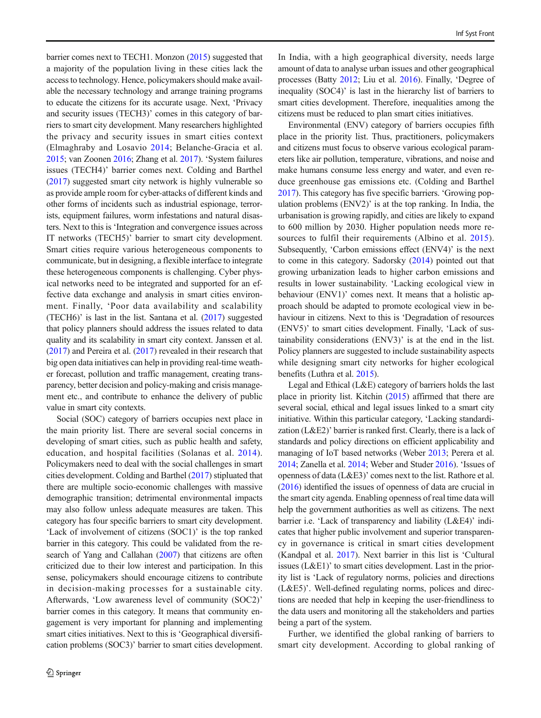barrier comes next to TECH1. Monzon (2015) suggested that a majority of the population living in these cities lack the access to technology. Hence, policymakers should make available the necessary technology and arrange training programs to educate the citizens for its accurate usage. Next, 'Privacy and security issues (TECH3)' comes in this category of barriers to smart city development. Many researchers highlighted the privacy and security issues in smart cities context (Elmaghraby and Losavio 2014; Belanche-Gracia et al. 2015; van Zoonen 2016; Zhang et al. 2017). 'System failures issues (TECH4)' barrier comes next. Colding and Barthel (2017) suggested smart city network is highly vulnerable so as provide ample room for cyber-attacks of different kinds and other forms of incidents such as industrial espionage, terrorists, equipment failures, worm infestations and natural disasters. Next to this is 'Integration and convergence issues across IT networks (TECH5)' barrier to smart city development. Smart cities require various heterogeneous components to communicate, but in designing, a flexible interface to integrate these heterogeneous components is challenging. Cyber physical networks need to be integrated and supported for an effective data exchange and analysis in smart cities environment. Finally, 'Poor data availability and scalability (TECH6)' is last in the list. Santana et al.  $(2017)$  suggested that policy planners should address the issues related to data quality and its scalability in smart city context. Janssen et al. (2017) and Pereira et al. (2017) revealed in their research that big open data initiatives can help in providing real-time weather forecast, pollution and traffic management, creating transparency, better decision and policy-making and crisis management etc., and contribute to enhance the delivery of public value in smart city contexts.

Social (SOC) category of barriers occupies next place in the main priority list. There are several social concerns in developing of smart cities, such as public health and safety, education, and hospital facilities (Solanas et al. 2014). Policymakers need to deal with the social challenges in smart cities development. Colding and Barthel (2017) stipluated that there are multiple socio-economic challenges with massive demographic transition; detrimental environmental impacts may also follow unless adequate measures are taken. This category has four specific barriers to smart city development. 'Lack of involvement of citizens (SOC1)' is the top ranked barrier in this category. This could be validated from the research of Yang and Callahan (2007) that citizens are often criticized due to their low interest and participation. In this sense, policymakers should encourage citizens to contribute in decision-making processes for a sustainable city. Afterwards, 'Low awareness level of community (SOC2)' barrier comes in this category. It means that community engagement is very important for planning and implementing smart cities initiatives. Next to this is 'Geographical diversification problems (SOC3)' barrier to smart cities development.

In India, with a high geographical diversity, needs large amount of data to analyse urban issues and other geographical processes (Batty 2012; Liu et al. 2016). Finally, 'Degree of inequality (SOC4)' is last in the hierarchy list of barriers to smart cities development. Therefore, inequalities among the citizens must be reduced to plan smart cities initiatives.

Environmental (ENV) category of barriers occupies fifth place in the priority list. Thus, practitioners, policymakers and citizens must focus to observe various ecological parameters like air pollution, temperature, vibrations, and noise and make humans consume less energy and water, and even reduce greenhouse gas emissions etc. (Colding and Barthel 2017). This category has five specific barriers. 'Growing population problems (ENV2)' is at the top ranking. In India, the urbanisation is growing rapidly, and cities are likely to expand to 600 million by 2030. Higher population needs more resources to fulfil their requirements (Albino et al. 2015). Subsequently, 'Carbon emissions effect (ENV4)' is the next to come in this category. Sadorsky (2014) pointed out that growing urbanization leads to higher carbon emissions and results in lower sustainability. 'Lacking ecological view in behaviour (ENV1)' comes next. It means that a holistic approach should be adapted to promote ecological view in behaviour in citizens. Next to this is 'Degradation of resources (ENV5)' to smart cities development. Finally, 'Lack of sustainability considerations (ENV3)' is at the end in the list. Policy planners are suggested to include sustainability aspects while designing smart city networks for higher ecological benefits (Luthra et al. 2015).

Legal and Ethical (L&E) category of barriers holds the last place in priority list. Kitchin (2015) affirmed that there are several social, ethical and legal issues linked to a smart city initiative. Within this particular category, 'Lacking standardization (L&E2)' barrier is ranked first. Clearly, there is a lack of standards and policy directions on efficient applicability and managing of IoT based networks (Weber 2013; Perera et al. 2014; Zanella et al. 2014; Weber and Studer 2016). 'Issues of openness of data (L&E3)' comes next to the list. Rathore et al. (2016) identified the issues of openness of data are crucial in the smart city agenda. Enabling openness of real time data will help the government authorities as well as citizens. The next barrier i.e. 'Lack of transparency and liability (L&E4)' indicates that higher public involvement and superior transparency in governance is critical in smart cities development (Kandpal et al. 2017). Next barrier in this list is 'Cultural issues (L&E1)' to smart cities development. Last in the priority list is 'Lack of regulatory norms, policies and directions (L&E5)'. Well-defined regulating norms, polices and directions are needed that help in keeping the user-friendliness to the data users and monitoring all the stakeholders and parties being a part of the system.

Further, we identified the global ranking of barriers to smart city development. According to global ranking of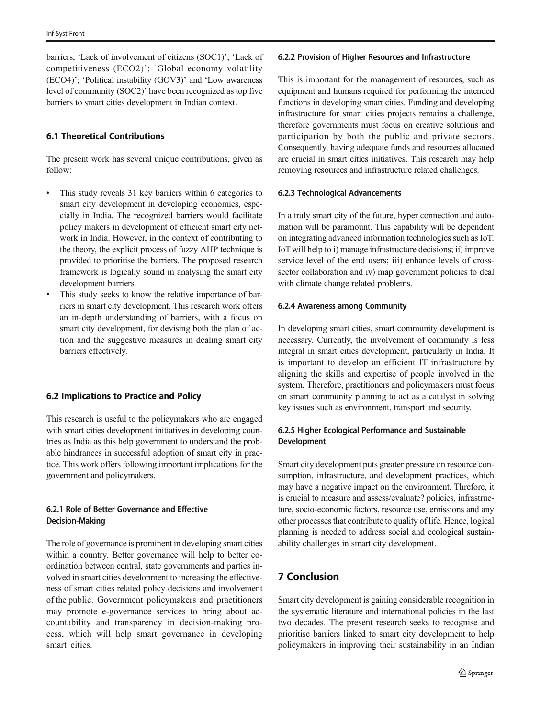barriers, 'Lack of involvement of citizens (SOC1)'; 'Lack of competitiveness (ECO2)'; 'Global economy volatility (ECO4)'; 'Political instability (GOV3)' and 'Low awareness level of community (SOC2)' have been recognized as top five barriers to smart cities development in Indian context.

# 6.1 Theoretical Contributions

The present work has several unique contributions, given as follow:

- This study reveals 31 key barriers within 6 categories to smart city development in developing economies, especially in India. The recognized barriers would facilitate policy makers in development of efficient smart city network in India. However, in the context of contributing to the theory, the explicit process of fuzzy AHP technique is provided to prioritise the barriers. The proposed research framework is logically sound in analysing the smart city development barriers.
- This study seeks to know the relative importance of barriers in smart city development. This research work offers an in-depth understanding of barriers, with a focus on smart city development, for devising both the plan of action and the suggestive measures in dealing smart city barriers effectively.

## 6.2 Implications to Practice and Policy

This research is useful to the policymakers who are engaged with smart cities development initiatives in developing countries as India as this help government to understand the probable hindrances in successful adoption of smart city in practice. This work offers following important implications for the government and policymakers.

## 6.2.1 Role of Better Governance and Effective Decision-Making

The role of governance is prominent in developing smart cities within a country. Better governance will help to better coordination between central, state governments and parties involved in smart cities development to increasing the effectiveness of smart cities related policy decisions and involvement of the public. Government policymakers and practitioners may promote e-governance services to bring about accountability and transparency in decision-making process, which will help smart governance in developing smart cities.

#### 6.2.2 Provision of Higher Resources and Infrastructure

This is important for the management of resources, such as equipment and humans required for performing the intended functions in developing smart cities. Funding and developing infrastructure for smart cities projects remains a challenge, therefore governments must focus on creative solutions and participation by both the public and private sectors. Consequently, having adequate funds and resources allocated are crucial in smart cities initiatives. This research may help removing resources and infrastructure related challenges.

#### 6.2.3 Technological Advancements

In a truly smart city of the future, hyper connection and automation will be paramount. This capability will be dependent on integrating advanced information technologies such as IoT. IoT will help to i) manage infrastructure decisions; ii) improve service level of the end users; iii) enhance levels of crosssector collaboration and iv) map government policies to deal with climate change related problems.

#### 6.2.4 Awareness among Community

In developing smart cities, smart community development is necessary. Currently, the involvement of community is less integral in smart cities development, particularly in India. It is important to develop an efficient IT infrastructure by aligning the skills and expertise of people involved in the system. Therefore, practitioners and policymakers must focus on smart community planning to act as a catalyst in solving key issues such as environment, transport and security.

## 6.2.5 Higher Ecological Performance and Sustainable Development

Smart city development puts greater pressure on resource consumption, infrastructure, and development practices, which may have a negative impact on the environment. Threfore, it is crucial to measure and assess/evaluate? policies, infrastructure, socio-economic factors, resource use, emissions and any other processes that contribute to quality of life. Hence, logical planning is needed to address social and ecological sustainability challenges in smart city development.

# 7 Conclusion

Smart city development is gaining considerable recognition in the systematic literature and international policies in the last two decades. The present research seeks to recognise and prioritise barriers linked to smart city development to help policymakers in improving their sustainability in an Indian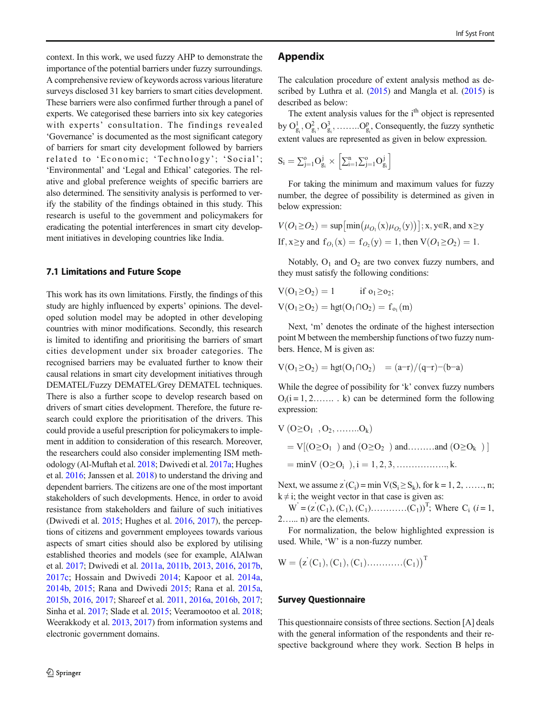context. In this work, we used fuzzy AHP to demonstrate the importance of the potential barriers under fuzzy surroundings. A comprehensive review of keywords across various literature surveys disclosed 31 key barriers to smart cities development. These barriers were also confirmed further through a panel of experts. We categorised these barriers into six key categories with experts' consultation. The findings revealed 'Governance' is documented as the most significant category of barriers for smart city development followed by barriers related to 'Economic; 'Technology'; 'Social'; 'Environmental' and 'Legal and Ethical' categories. The relative and global preference weights of specific barriers are also determined. The sensitivity analysis is performed to verify the stability of the findings obtained in this study. This research is useful to the government and policymakers for eradicating the potential interferences in smart city development initiatives in developing countries like India.

#### 7.1 Limitations and Future Scope

This work has its own limitations. Firstly, the findings of this study are highly influenced by experts' opinions. The developed solution model may be adopted in other developing countries with minor modifications. Secondly, this research is limited to identifing and prioritising the barriers of smart cities development under six broader categories. The recognised barriers may be evaluated further to know their causal relations in smart city development initiatives through DEMATEL/Fuzzy DEMATEL/Grey DEMATEL techniques. There is also a further scope to develop research based on drivers of smart cities development. Therefore, the future research could explore the prioritisation of the drivers. This could provide a useful prescription for policymakers to implement in addition to consideration of this research. Moreover, the researchers could also consider implementing ISM methodology (Al-Muftah et al. 2018; Dwivedi et al. 2017a; Hughes et al. 2016; Janssen et al. 2018) to understand the driving and dependent barriers. The citizens are one of the most important stakeholders of such developments. Hence, in order to avoid resistance from stakeholders and failure of such initiatives (Dwivedi et al. 2015; Hughes et al. 2016, 2017), the perceptions of citizens and government employees towards various aspects of smart cities should also be explored by utilising established theories and models (see for example, AlAlwan et al. 2017; Dwivedi et al. 2011a, 2011b, 2013, 2016, 2017b, 2017c; Hossain and Dwivedi 2014; Kapoor et al. 2014a, 2014b, 2015; Rana and Dwivedi 2015; Rana et al. 2015a, 2015b, 2016, 2017; Shareef et al. 2011, 2016a, 2016b, 2017; Sinha et al. 2017; Slade et al. 2015; Veeramootoo et al. 2018; Weerakkody et al. 2013, 2017) from information systems and electronic government domains.

#### Appendix

The calculation procedure of extent analysis method as described by Luthra et al. (2015) and Mangla et al. (2015) is described as below:

The extent analysis values for the i<sup>th</sup> object is represented by  $O_{g_i}^1$ ,  $O_{g_i}^2$ ,  $O_{g_i}^3$ , ........  $O_{g_i}^p$ , Consequently, the fuzzy synthetic extent values are represented as given in below expression.

$$
S_i = \textstyle\sum_{j=1}^o O_{g_i}^j \times \left[ \textstyle\sum_{i=1}^n \textstyle\sum_{j=1}^o O_{g_i}^j \right]
$$

For taking the minimum and maximum values for fuzzy number, the degree of possibility is determined as given in below expression:

$$
V(O_1 \geq O_2) = \sup \left[ \min \left( \mu_{O_1}(\mathbf{x}) \mu_{O_2}(\mathbf{y}) \right) \right]; \mathbf{x}, \mathbf{y} \in \mathbb{R}, \text{ and } \mathbf{x} \geq \mathbf{y}
$$
  
If,  $\mathbf{x} \geq \mathbf{y}$  and  $\mathbf{f}_{O_1}(\mathbf{x}) = \mathbf{f}_{O_2}(\mathbf{y}) = 1$ , then  $V(O_1 \geq O_2) = 1$ .

Notably,  $O_1$  and  $O_2$  are two convex fuzzy numbers, and they must satisfy the following conditions:

V Oð Þ¼ <sup>1</sup> ≥O2 1 if o1 ≥o2; V Oð Þ¼ <sup>1</sup> ≥O2 hgt Oð Þ¼ <sup>1</sup>∩O2 f o1 ð Þ m

Next, 'm' denotes the ordinate of the highest intersection point M between the membership functions of two fuzzy numbers. Hence, M is given as:

$$
V(O_1 \geq O_2) = hgt(O_1 \cap O_2) = (a-r)/(q-r)-(b-a)
$$

While the degree of possibility for 'k' convex fuzzy numbers  $O_i(i = 1, 2, \ldots, k)$  can be determined form the following expression:

$$
V (O \ge O_1, O_2, \dots, O_k)
$$
  
=  $V[(O \ge O_1)$  and  $(O \ge O_2)$  and  $\dots$  and  $(O \ge O_k)$ ]  
= minV (O \ge O<sub>i</sub>), i = 1, 2, 3,  $\dots$  and  $\dots$ 

Next, we assume  $z'(C_i) = \min V(S_i \ge S_k)$ , for  $k = 1, 2, \dots, n$ ;  $k \neq i$ ; the weight vector in that case is given as:

 $W^{\prime} = (z^{'}(C_1), (C_1), (C_1), \dots, (C_1))^{T}$ ; Where  $C_i$  (*i* = 1, 2…... n) are the elements.

For normalization, the below highlighted expression is used. While, 'W' is a non-fuzzy number.

$$
W = (z^{'}(C_1), (C_1), (C_1), \dots, (C_1))^{T}
$$

#### Survey Questionnaire

This questionnaire consists of three sections. Section [A] deals with the general information of the respondents and their respective background where they work. Section B helps in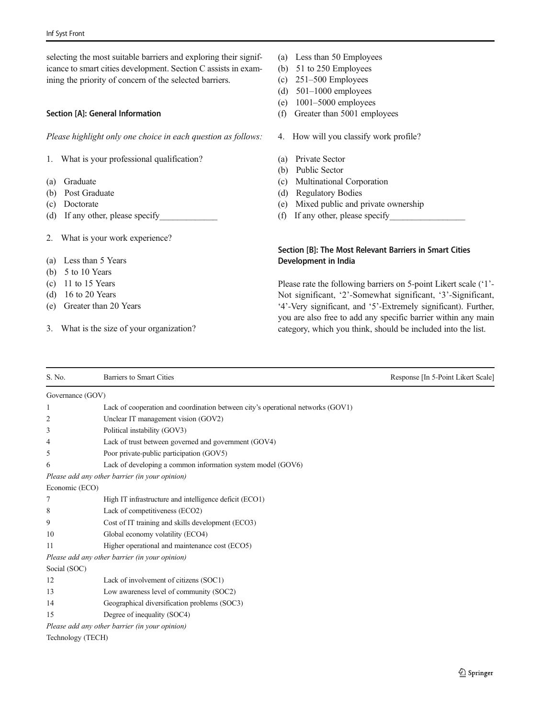selecting the most suitable barriers and exploring their significance to smart cities development. Section C assists in examining the priority of concern of the selected barriers.

#### Section [A]: General Information

Please highlight only one choice in each question as follows:

- 1. What is your professional qualification?
- (a) Graduate
- (b) Post Graduate
- (c) Doctorate
- (d) If any other, please specify
- 2. What is your work experience?
- (a) Less than 5 Years
- (b) 5 to 10 Years
- (c) 11 to 15 Years
- (d) 16 to 20 Years
- (e) Greater than 20 Years
- 3. What is the size of your organization?
- (a) Less than 50 Employees
- (b) 51 to 250 Employees
- (c) 251–500 Employees
- (d) 501–1000 employees
- (e) 1001–5000 employees
- (f) Greater than 5001 employees
- 4. How will you classify work profile?
- (a) Private Sector
- (b) Public Sector
- (c) Multinational Corporation
- (d) Regulatory Bodies
- (e) Mixed public and private ownership
- (f) If any other, please specify\_\_\_\_\_\_\_\_\_\_\_\_\_\_\_\_\_

## Section [B]: The Most Relevant Barriers in Smart Cities Development in India

Please rate the following barriers on 5-point Likert scale ('1'- Not significant, '2'-Somewhat significant, '3'-Significant, '4'-Very significant, and '5'-Extremely significant). Further, you are also free to add any specific barrier within any main category, which you think, should be included into the list.

| Governance (GOV)<br>Lack of cooperation and coordination between city's operational networks (GOV1)<br>Unclear IT management vision (GOV2)<br>Political instability (GOV3)<br>Lack of trust between governed and government (GOV4)<br>Poor private-public participation (GOV5)<br>Lack of developing a common information system model (GOV6)<br>Please add any other barrier (in your opinion)<br>Economic (ECO)<br>High IT infrastructure and intelligence deficit (ECO1)<br>Lack of competitiveness (ECO2)<br>Cost of IT training and skills development (ECO3)<br>Global economy volatility (ECO4)<br>Higher operational and maintenance cost (ECO5)<br>Please add any other barrier (in your opinion)<br>Lack of involvement of citizens (SOC1)<br>Low awareness level of community (SOC2)<br>Geographical diversification problems (SOC3) | S. No.       | Barriers to Smart Cities    | Response [In 5-Point Likert Scale] |
|-------------------------------------------------------------------------------------------------------------------------------------------------------------------------------------------------------------------------------------------------------------------------------------------------------------------------------------------------------------------------------------------------------------------------------------------------------------------------------------------------------------------------------------------------------------------------------------------------------------------------------------------------------------------------------------------------------------------------------------------------------------------------------------------------------------------------------------------------|--------------|-----------------------------|------------------------------------|
|                                                                                                                                                                                                                                                                                                                                                                                                                                                                                                                                                                                                                                                                                                                                                                                                                                                 |              |                             |                                    |
|                                                                                                                                                                                                                                                                                                                                                                                                                                                                                                                                                                                                                                                                                                                                                                                                                                                 | 1            |                             |                                    |
|                                                                                                                                                                                                                                                                                                                                                                                                                                                                                                                                                                                                                                                                                                                                                                                                                                                 | 2            |                             |                                    |
|                                                                                                                                                                                                                                                                                                                                                                                                                                                                                                                                                                                                                                                                                                                                                                                                                                                 | 3            |                             |                                    |
|                                                                                                                                                                                                                                                                                                                                                                                                                                                                                                                                                                                                                                                                                                                                                                                                                                                 | 4            |                             |                                    |
|                                                                                                                                                                                                                                                                                                                                                                                                                                                                                                                                                                                                                                                                                                                                                                                                                                                 | 5            |                             |                                    |
|                                                                                                                                                                                                                                                                                                                                                                                                                                                                                                                                                                                                                                                                                                                                                                                                                                                 | 6            |                             |                                    |
|                                                                                                                                                                                                                                                                                                                                                                                                                                                                                                                                                                                                                                                                                                                                                                                                                                                 |              |                             |                                    |
|                                                                                                                                                                                                                                                                                                                                                                                                                                                                                                                                                                                                                                                                                                                                                                                                                                                 |              |                             |                                    |
|                                                                                                                                                                                                                                                                                                                                                                                                                                                                                                                                                                                                                                                                                                                                                                                                                                                 | 7            |                             |                                    |
|                                                                                                                                                                                                                                                                                                                                                                                                                                                                                                                                                                                                                                                                                                                                                                                                                                                 | 8            |                             |                                    |
|                                                                                                                                                                                                                                                                                                                                                                                                                                                                                                                                                                                                                                                                                                                                                                                                                                                 | 9            |                             |                                    |
|                                                                                                                                                                                                                                                                                                                                                                                                                                                                                                                                                                                                                                                                                                                                                                                                                                                 | 10           |                             |                                    |
|                                                                                                                                                                                                                                                                                                                                                                                                                                                                                                                                                                                                                                                                                                                                                                                                                                                 | 11           |                             |                                    |
|                                                                                                                                                                                                                                                                                                                                                                                                                                                                                                                                                                                                                                                                                                                                                                                                                                                 |              |                             |                                    |
|                                                                                                                                                                                                                                                                                                                                                                                                                                                                                                                                                                                                                                                                                                                                                                                                                                                 | Social (SOC) |                             |                                    |
|                                                                                                                                                                                                                                                                                                                                                                                                                                                                                                                                                                                                                                                                                                                                                                                                                                                 | 12           |                             |                                    |
|                                                                                                                                                                                                                                                                                                                                                                                                                                                                                                                                                                                                                                                                                                                                                                                                                                                 | 13           |                             |                                    |
|                                                                                                                                                                                                                                                                                                                                                                                                                                                                                                                                                                                                                                                                                                                                                                                                                                                 | 14           |                             |                                    |
|                                                                                                                                                                                                                                                                                                                                                                                                                                                                                                                                                                                                                                                                                                                                                                                                                                                 | 15           | Degree of inequality (SOC4) |                                    |
| Please add any other barrier (in your opinion)                                                                                                                                                                                                                                                                                                                                                                                                                                                                                                                                                                                                                                                                                                                                                                                                  |              |                             |                                    |
| Technology (TECH)                                                                                                                                                                                                                                                                                                                                                                                                                                                                                                                                                                                                                                                                                                                                                                                                                               |              |                             |                                    |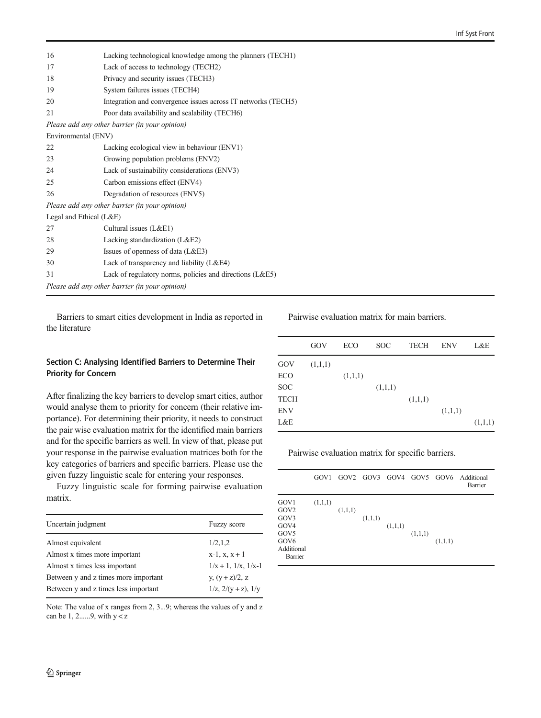| 16                                             | Lacking technological knowledge among the planners (TECH1)    |  |  |  |  |  |  |
|------------------------------------------------|---------------------------------------------------------------|--|--|--|--|--|--|
| 17                                             | Lack of access to technology (TECH2)                          |  |  |  |  |  |  |
| 18                                             | Privacy and security issues (TECH3)                           |  |  |  |  |  |  |
| 19                                             | System failures issues (TECH4)                                |  |  |  |  |  |  |
| 20                                             | Integration and convergence issues across IT networks (TECH5) |  |  |  |  |  |  |
| 21                                             | Poor data availability and scalability (TECH6)                |  |  |  |  |  |  |
| Please add any other barrier (in your opinion) |                                                               |  |  |  |  |  |  |
| Environmental (ENV)                            |                                                               |  |  |  |  |  |  |
| 22                                             | Lacking ecological view in behaviour (ENV1)                   |  |  |  |  |  |  |
| 23                                             | Growing population problems (ENV2)                            |  |  |  |  |  |  |
| 24                                             | Lack of sustainability considerations (ENV3)                  |  |  |  |  |  |  |
| 25                                             | Carbon emissions effect (ENV4)                                |  |  |  |  |  |  |
| 26                                             | Degradation of resources (ENV5)                               |  |  |  |  |  |  |
|                                                | Please add any other barrier (in your opinion)                |  |  |  |  |  |  |
| Legal and Ethical (L&E)                        |                                                               |  |  |  |  |  |  |
| 27                                             | Cultural issues (L&E1)                                        |  |  |  |  |  |  |
| 28                                             | Lacking standardization (L&E2)                                |  |  |  |  |  |  |
| 29                                             | Issues of openness of data (L&E3)                             |  |  |  |  |  |  |
| 30                                             | Lack of transparency and liability (L&E4)                     |  |  |  |  |  |  |
| 31                                             | Lack of regulatory norms, policies and directions (L&E5)      |  |  |  |  |  |  |
| Please add any other barrier (in your opinion) |                                                               |  |  |  |  |  |  |

Barriers to smart cities development in India as reported in the literature

## Section C: Analysing Identified Barriers to Determine Their Priority for Concern

After finalizing the key barriers to develop smart cities, author would analyse them to priority for concern (their relative importance). For determining their priority, it needs to construct the pair wise evaluation matrix for the identified main barriers and for the specific barriers as well. In view of that, please put your response in the pairwise evaluation matrices both for the key categories of barriers and specific barriers. Please use the given fuzzy linguistic scale for entering your responses.

Fuzzy linguistic scale for forming pairwise evaluation matrix.

| Fuzzy score                 |
|-----------------------------|
| 1/2, 1, 2                   |
| $x-1, x, x+1$               |
| $1/x + 1$ , $1/x$ , $1/x-1$ |
| y, $(y + z)/2$ , z          |
| $1/z$ , $2/(y + z)$ , $1/y$ |
|                             |

Note: The value of x ranges from 2, 3...9; whereas the values of y and z can be 1, 2......9, with  $y < z$ 

Pairwise evaluation matrix for main barriers.

|             | GOV     | ECO     | <b>SOC</b> | <b>TECH</b> | <b>ENV</b> | L&E     |
|-------------|---------|---------|------------|-------------|------------|---------|
| GOV         | (1,1,1) |         |            |             |            |         |
| ECO         |         | (1,1,1) |            |             |            |         |
| <b>SOC</b>  |         |         | (1,1,1)    |             |            |         |
| <b>TECH</b> |         |         |            | (1,1,1)     |            |         |
| <b>ENV</b>  |         |         |            |             | (1,1,1)    |         |
| L&E         |         |         |            |             |            | (1,1,1) |

Pairwise evaluation matrix for specific barriers.

|                                                                        | GOV <sub>1</sub> |         |         |         |         |         | GOV2 GOV3 GOV4 GOV5 GOV6 Additional<br>Barrier |
|------------------------------------------------------------------------|------------------|---------|---------|---------|---------|---------|------------------------------------------------|
| GOV1<br>GOV <sub>2</sub><br>GOV3<br>GOV4<br>GOV5<br>GOV6<br>Additional | (1,1,1)          | (1,1,1) | (1,1,1) | (1,1,1) | (1,1,1) | (1,1,1) |                                                |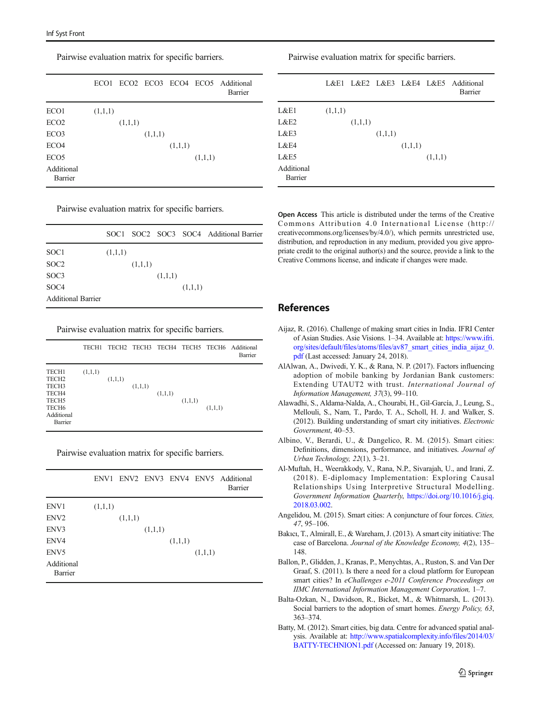|                       |         |         |         |         |         | ECO1 ECO2 ECO3 ECO4 ECO5 Additional<br>Barrier |
|-----------------------|---------|---------|---------|---------|---------|------------------------------------------------|
| ECO <sub>1</sub>      | (1,1,1) |         |         |         |         |                                                |
| ECO <sub>2</sub>      |         | (1,1,1) |         |         |         |                                                |
| ECO <sub>3</sub>      |         |         | (1,1,1) |         |         |                                                |
| ECO <sub>4</sub>      |         |         |         | (1,1,1) |         |                                                |
| ECO <sub>5</sub>      |         |         |         |         | (1,1,1) |                                                |
| Additional<br>Barrier |         |         |         |         |         |                                                |

Pairwise evaluation matrix for specific barriers.

|                           |         |         |         |         | SOC1 SOC2 SOC3 SOC4 Additional Barrier |
|---------------------------|---------|---------|---------|---------|----------------------------------------|
| SOC <sub>1</sub>          | (1,1,1) |         |         |         |                                        |
| SOC <sub>2</sub>          |         | (1,1,1) |         |         |                                        |
| SOC3                      |         |         | (1,1,1) |         |                                        |
| SOC <sub>4</sub>          |         |         |         | (1,1,1) |                                        |
| <b>Additional Barrier</b> |         |         |         |         |                                        |

| Pairwise evaluation matrix for specific barriers. |  |  |
|---------------------------------------------------|--|--|
|                                                   |  |  |

|                                                                                                                 | TFCH1   |         |         |         |         |         | TECH2 TECH3 TECH4 TECH5 TECH6 Additional<br>Barrier |
|-----------------------------------------------------------------------------------------------------------------|---------|---------|---------|---------|---------|---------|-----------------------------------------------------|
| TECH1<br>TECH <sub>2</sub><br>TECH3<br>TECH4<br>TECH <sub>5</sub><br>TECH <sub>6</sub><br>Additional<br>Barrier | (1,1,1) | (1,1,1) | (1,1,1) | (1,1,1) | (1,1,1) | (1,1,1) |                                                     |

Pairwise evaluation matrix for specific barriers.

|                       | ENV1    |         |         |         |         | ENV2 ENV3 ENV4 ENV5 Additional<br>Barrier |
|-----------------------|---------|---------|---------|---------|---------|-------------------------------------------|
| ENV1                  | (1,1,1) |         |         |         |         |                                           |
| ENV <sub>2</sub>      |         | (1,1,1) |         |         |         |                                           |
| ENV3                  |         |         | (1,1,1) |         |         |                                           |
| ENV4                  |         |         |         | (1,1,1) |         |                                           |
| ENV <sub>5</sub>      |         |         |         |         | (1,1,1) |                                           |
| Additional<br>Barrier |         |         |         |         |         |                                           |

Pairwise evaluation matrix for specific barriers.

|                       | L&E1    |         |         |         |         | L&E2 L&E3 L&E4 L&E5 Additional<br>Barrier |
|-----------------------|---------|---------|---------|---------|---------|-------------------------------------------|
| L&E1                  | (1,1,1) |         |         |         |         |                                           |
| L&E2                  |         | (1,1,1) |         |         |         |                                           |
| L&E3                  |         |         | (1,1,1) |         |         |                                           |
| L&E4                  |         |         |         | (1,1,1) |         |                                           |
| L&E5                  |         |         |         |         | (1,1,1) |                                           |
| Additional<br>Barrier |         |         |         |         |         |                                           |

Open Access This article is distributed under the terms of the Creative Commons Attribution 4.0 International License (http:// creativecommons.org/licenses/by/4.0/), which permits unrestricted use, distribution, and reproduction in any medium, provided you give appropriate credit to the original author(s) and the source, provide a link to the Creative Commons license, and indicate if changes were made.

## References

- Aijaz, R. (2016). Challenge of making smart cities in India. IFRI Center of Asian Studies. Asie Visions. 1–34. Available at: https://www.ifri. org/sites/default/files/atoms/files/av87\_smart\_cities\_india\_aijaz\_0. pdf (Last accessed: January 24, 2018).
- AlAlwan, A., Dwivedi, Y. K., & Rana, N. P. (2017). Factors influencing adoption of mobile banking by Jordanian Bank customers: Extending UTAUT2 with trust. International Journal of Information Management, 37(3), 99–110.
- Alawadhi, S., Aldama-Nalda, A., Chourabi, H., Gil-García, J., Leung, S., Mellouli, S., Nam, T., Pardo, T. A., Scholl, H. J. and Walker, S. (2012). Building understanding of smart city initiatives. Electronic Government, 40–53.
- Albino, V., Berardi, U., & Dangelico, R. M. (2015). Smart cities: Definitions, dimensions, performance, and initiatives. Journal of Urban Technology, 22(1), 3–21.
- Al-Muftah, H., Weerakkody, V., Rana, N.P., Sivarajah, U., and Irani, Z. (2018). E-diplomacy Implementation: Exploring Causal Relationships Using Interpretive Structural Modelling. Government Information Quarterly, https://doi.org/10.1016/j.giq. 2018.03.002.
- Angelidou, M. (2015). Smart cities: A conjuncture of four forces. Cities, 47, 95–106.
- Bakıcı, T., Almirall, E., & Wareham, J. (2013). A smart city initiative: The case of Barcelona. Journal of the Knowledge Economy, 4(2), 135– 148.
- Ballon, P., Glidden, J., Kranas, P., Menychtas, A., Ruston, S. and Van Der Graaf, S. (2011). Is there a need for a cloud platform for European smart cities? In eChallenges e-2011 Conference Proceedings on IIMC International Information Management Corporation, 1–7.
- Balta-Ozkan, N., Davidson, R., Bicket, M., & Whitmarsh, L. (2013). Social barriers to the adoption of smart homes. Energy Policy, 63, 363–374.
- Batty, M. (2012). Smart cities, big data. Centre for advanced spatial analysis. Available at: http://www.spatialcomplexity.info/files/2014/03/ BATTY-TECHNION1.pdf (Accessed on: January 19, 2018).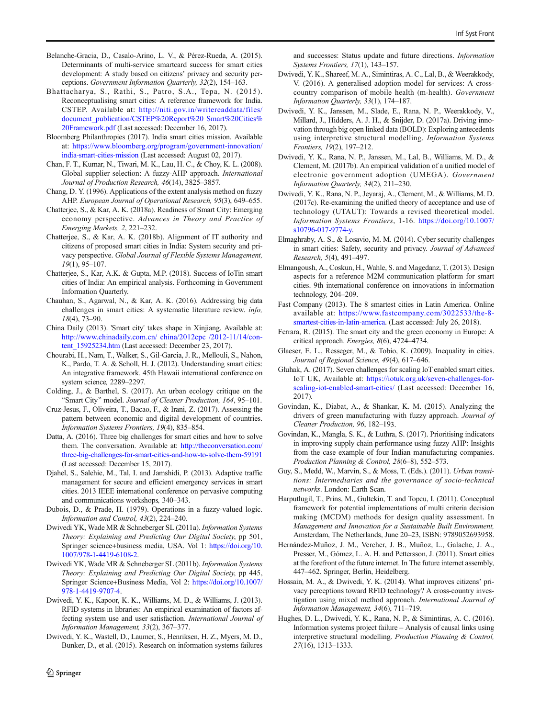- Belanche-Gracia, D., Casalo-Arino, L. V., & Pérez-Rueda, A. (2015). Determinants of multi-service smartcard success for smart cities development: A study based on citizens' privacy and security perceptions. Government Information Quarterly, 32(2), 154–163.
- Bhattacharya, S., Rathi, S., Patro, S.A., Tepa, N. (2015). Reconceptualising smart cities: A reference framework for India. CSTEP. Available at: http://niti.gov.in/writereaddata/files/ document\_publication/CSTEP%20Report%20 Smart%20Cities% 20Framework.pdf (Last accessed: December 16, 2017).
- Bloomberg Philanthropies (2017). India smart cities mission. Available at: https://www.bloomberg.org/program/government-innovation/ india-smart-cities-mission (Last accessed: August 02, 2017).
- Chan, F. T., Kumar, N., Tiwari, M. K., Lau, H. C., & Choy, K. L. (2008). Global supplier selection: A fuzzy-AHP approach. International Journal of Production Research, 46(14), 3825–3857.
- Chang, D. Y. (1996). Applications of the extent analysis method on fuzzy AHP. European Journal of Operational Research, 95(3), 649–655.
- Chatterjee, S., & Kar, A. K. (2018a). Readiness of Smart City: Emerging economy perspective. Advances in Theory and Practice of Emerging Markets, 2, 221–232.
- Chatterjee, S., & Kar, A. K. (2018b). Alignment of IT authority and citizens of proposed smart cities in India: System security and privacy perspective. Global Journal of Flexible Systems Management, 19(1), 95–107.
- Chatterjee, S., Kar, A.K. & Gupta, M.P. (2018). Success of IoTin smart cities of India: An empirical analysis. Forthcoming in Government Information Quarterly.
- Chauhan, S., Agarwal, N., & Kar, A. K. (2016). Addressing big data challenges in smart cities: A systematic literature review. info, 18(4), 73–90.
- China Daily (2013). 'Smart city' takes shape in Xinjiang. Available at: http://www.chinadaily.com.cn/ china/2012cpc /2012-11/14/content\_15925234.htm (Last accessed: December 23, 2017).
- Chourabi, H., Nam, T., Walker, S., Gil-Garcia, J. R., Mellouli, S., Nahon, K., Pardo, T. A. & Scholl, H. J. (2012). Understanding smart cities: An integrative framework. 45th Hawaii international conference on system science, 2289–2297.
- Colding, J., & Barthel, S. (2017). An urban ecology critique on the "Smart City" model. Journal of Cleaner Production, 164, 95-101.
- Cruz-Jesus, F., Oliveira, T., Bacao, F., & Irani, Z. (2017). Assessing the pattern between economic and digital development of countries. Information Systems Frontiers, 19(4), 835–854.
- Datta, A. (2016). Three big challenges for smart cities and how to solve them. The conversation. Available at: http://theconversation.com/ three-big-challenges-for-smart-cities-and-how-to-solve-them-59191 (Last accessed: December 15, 2017).
- Djahel, S., Salehie, M., Tal, I. and Jamshidi, P. (2013). Adaptive traffic management for secure and efficient emergency services in smart cities. 2013 IEEE international conference on pervasive computing and communications workshops, 340–343.
- Dubois, D., & Prade, H. (1979). Operations in a fuzzy-valued logic. Information and Control, 43(2), 224–240.
- Dwivedi YK, Wade MR & Schneberger SL (2011a). Information Systems Theory: Explaining and Predicting Our Digital Society, pp 501, Springer science+business media, USA. Vol 1: https://doi.org/10. 1007/978-1-4419-6108-2.
- Dwivedi YK, Wade MR & Schneberger SL (2011b). Information Systems Theory: Explaining and Predicting Our Digital Society, pp 445, Springer Science+Business Media, Vol 2: https://doi.org/10.1007/ 978-1-4419-9707-4.
- Dwivedi, Y. K., Kapoor, K. K., Williams, M. D., & Williams, J. (2013). RFID systems in libraries: An empirical examination of factors affecting system use and user satisfaction. International Journal of Information Management, 33(2), 367–377.
- Dwivedi, Y. K., Wastell, D., Laumer, S., Henriksen, H. Z., Myers, M. D., Bunker, D., et al. (2015). Research on information systems failures

and successes: Status update and future directions. Information Systems Frontiers, 17(1), 143–157.

- Dwivedi, Y. K., Shareef, M. A., Simintiras, A. C., Lal, B., & Weerakkody, V. (2016). A generalised adoption model for services: A crosscountry comparison of mobile health (m-health). Government Information Quarterly, 33(1), 174–187.
- Dwivedi, Y. K., Janssen, M., Slade, E., Rana, N. P., Weerakkody, V., Millard, J., Hidders, A. J. H., & Snijder, D. (2017a). Driving innovation through big open linked data (BOLD): Exploring antecedents using interpretive structural modelling. Information Systems Frontiers, 19(2), 197–212.
- Dwivedi, Y. K., Rana, N. P., Janssen, M., Lal, B., Williams, M. D., & Clement, M. (2017b). An empirical validation of a unified model of electronic government adoption (UMEGA). Government Information Quarterly, 34(2), 211–230.
- Dwivedi, Y. K., Rana, N. P., Jeyaraj, A., Clement, M., & Williams, M. D. (2017c). Re-examining the unified theory of acceptance and use of technology (UTAUT): Towards a revised theoretical model. Information Systems Frontiers, 1-16. https://doi.org/10.1007/ s10796-017-9774-y.
- Elmaghraby, A. S., & Losavio, M. M. (2014). Cyber security challenges in smart cities: Safety, security and privacy. Journal of Advanced Research, 5(4), 491–497.
- Elmangoush, A., Coskun, H., Wahle, S. and Magedanz, T. (2013). Design aspects for a reference M2M communication platform for smart cities. 9th international conference on innovations in information technology, 204–209.
- Fast Company (2013). The 8 smartest cities in Latin America. Online available at: https://www.fastcompany.com/3022533/the-8 smartest-cities-in-latin-america. (Last accessed: July 26, 2018).
- Ferrara, R. (2015). The smart city and the green economy in Europe: A critical approach. Energies, 8(6), 4724–4734.
- Glaeser, E. L., Resseger, M., & Tobio, K. (2009). Inequality in cities. Journal of Regional Science, 49(4), 617–646.
- Gluhak, A. (2017). Seven challenges for scaling IoT enabled smart cities. IoT UK, Available at: https://iotuk.org.uk/seven-challenges-forscaling-iot-enabled-smart-cities/ (Last accessed: December 16, 2017).
- Govindan, K., Diabat, A., & Shankar, K. M. (2015). Analyzing the drivers of green manufacturing with fuzzy approach. Journal of Cleaner Production, 96, 182–193.
- Govindan, K., Mangla, S. K., & Luthra, S. (2017). Prioritising indicators in improving supply chain performance using fuzzy AHP: Insights from the case example of four Indian manufacturing companies. Production Planning & Control, 28(6–8), 552–573.
- Guy, S., Medd, W., Marvin, S., & Moss, T. (Eds.). (2011). Urban transitions: Intermediaries and the governance of socio-technical networks. London: Earth Scan.
- Harputlugil, T., Prins, M., Gultekin, T. and Topcu, I. (2011). Conceptual framework for potential implementations of multi criteria decision making (MCDM) methods for design quality assessment. In Management and Innovation for a Sustainable Built Environment, Amsterdam, The Netherlands, June 20–23, ISBN: 9789052693958.
- Hernández-Muñoz, J. M., Vercher, J. B., Muñoz, L., Galache, J. A., Presser, M., Gómez, L. A. H. and Pettersson, J. (2011). Smart cities at the forefront of the future internet. In The future internet assembly, 447–462. Springer, Berlin, Heidelberg.
- Hossain, M. A., & Dwivedi, Y. K. (2014). What improves citizens' privacy perceptions toward RFID technology? A cross-country investigation using mixed method approach. International Journal of Information Management, 34(6), 711–719.
- Hughes, D. L., Dwivedi, Y. K., Rana, N. P., & Simintiras, A. C. (2016). Information systems project failure – Analysis of causal links using interpretive structural modelling. Production Planning & Control, 27(16), 1313–1333.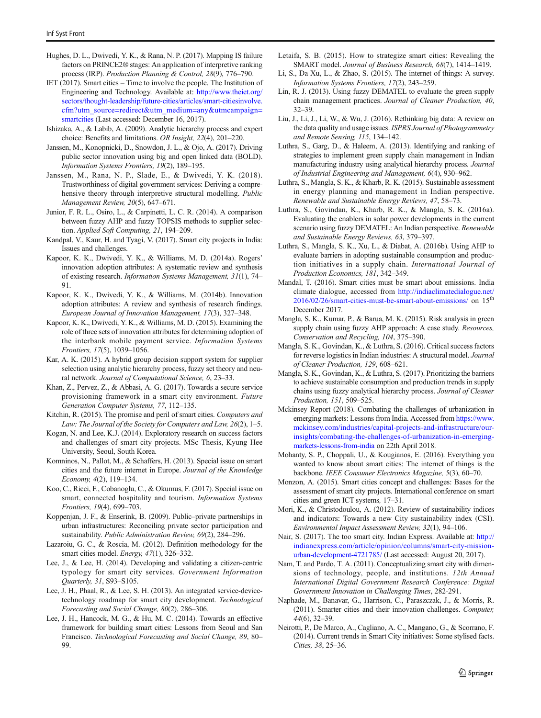- Hughes, D. L., Dwivedi, Y. K., & Rana, N. P. (2017). Mapping IS failure factors on PRINCE2® stages: An application of interpretive ranking process (IRP). Production Planning & Control, 28(9), 776–790.
- IET (2017). Smart cities Time to involve the people. The Institution of Engineering and Technology. Available at: http://www.theiet.org/ sectors/thought-leadership/future-cities/articles/smart-citiesinvolve. cfm?utm\_source=redirect&utm\_medium=any&utmcampaign= smartcities (Last accessed: December 16, 2017).
- Ishizaka, A., & Labib, A. (2009). Analytic hierarchy process and expert choice: Benefits and limitations. OR Insight, 22(4), 201–220.
- Janssen, M., Konopnicki, D., Snowdon, J. L., & Ojo, A. (2017). Driving public sector innovation using big and open linked data (BOLD). Information Systems Frontiers, 19(2), 189–195.
- Janssen, M., Rana, N. P., Slade, E., & Dwivedi, Y. K. (2018). Trustworthiness of digital government services: Deriving a comprehensive theory through interpretive structural modelling. Public Management Review, 20(5), 647–671.
- Junior, F. R. L., Osiro, L., & Carpinetti, L. C. R. (2014). A comparison between fuzzy AHP and fuzzy TOPSIS methods to supplier selection. Applied Soft Computing, 21, 194–209.
- Kandpal, V., Kaur, H. and Tyagi, V. (2017). Smart city projects in India: Issues and challenges.
- Kapoor, K. K., Dwivedi, Y. K., & Williams, M. D. (2014a). Rogers' innovation adoption attributes: A systematic review and synthesis of existing research. Information Systems Management, 31(1), 74– 91.
- Kapoor, K. K., Dwivedi, Y. K., & Williams, M. (2014b). Innovation adoption attributes: A review and synthesis of research findings. European Journal of Innovation Management, 17(3), 327–348.
- Kapoor, K. K., Dwivedi, Y. K., & Williams, M. D. (2015). Examining the role of three sets of innovation attributes for determining adoption of the interbank mobile payment service. Information Systems Frontiers, 17(5), 1039–1056.
- Kar, A. K. (2015). A hybrid group decision support system for supplier selection using analytic hierarchy process, fuzzy set theory and neural network. Journal of Computational Science, 6, 23–33.
- Khan, Z., Pervez, Z., & Abbasi, A. G. (2017). Towards a secure service provisioning framework in a smart city environment. Future Generation Computer Systems, 77, 112–135.
- Kitchin, R. (2015). The promise and peril of smart cities. Computers and Law: The Journal of the Society for Computers and Law, 26(2), 1–5.
- Kogan, N. and Lee, K.J. (2014). Exploratory research on success factors and challenges of smart city projects. MSc Thesis, Kyung Hee University, Seoul, South Korea.
- Komninos, N., Pallot, M., & Schaffers, H. (2013). Special issue on smart cities and the future internet in Europe. Journal of the Knowledge Economy, 4(2), 119–134.
- Koo, C., Ricci, F., Cobanoglu, C., & Okumus, F. (2017). Special issue on smart, connected hospitality and tourism. Information Systems Frontiers, 19(4), 699–703.
- Koppenjan, J. F., & Enserink, B. (2009). Public–private partnerships in urban infrastructures: Reconciling private sector participation and sustainability. Public Administration Review, 69(2), 284–296.
- Lazaroiu, G. C., & Roscia, M. (2012). Definition methodology for the smart cities model. Energy, 47(1), 326–332.
- Lee, J., & Lee, H. (2014). Developing and validating a citizen-centric typology for smart city services. Government Information Quarterly, 31, S93–S105.
- Lee, J. H., Phaal, R., & Lee, S. H. (2013). An integrated service-devicetechnology roadmap for smart city development. Technological Forecasting and Social Change, 80(2), 286–306.
- Lee, J. H., Hancock, M. G., & Hu, M. C. (2014). Towards an effective framework for building smart cities: Lessons from Seoul and San Francisco. Technological Forecasting and Social Change, 89, 80– 99.
- Letaifa, S. B. (2015). How to strategize smart cities: Revealing the SMART model. Journal of Business Research, 68(7), 1414–1419.
- Li, S., Da Xu, L., & Zhao, S. (2015). The internet of things: A survey. Information Systems Frontiers, 17(2), 243–259.
- Lin, R. J. (2013). Using fuzzy DEMATEL to evaluate the green supply chain management practices. Journal of Cleaner Production, 40, 32–39.
- Liu, J., Li, J., Li, W., & Wu, J. (2016). Rethinking big data: A review on the data quality and usage issues. ISPRS Journal of Photogrammetry and Remote Sensing, 115, 134–142.
- Luthra, S., Garg, D., & Haleem, A. (2013). Identifying and ranking of strategies to implement green supply chain management in Indian manufacturing industry using analytical hierarchy process. Journal of Industrial Engineering and Management, 6(4), 930–962.
- Luthra, S., Mangla, S. K., & Kharb, R. K. (2015). Sustainable assessment in energy planning and management in Indian perspective. Renewable and Sustainable Energy Reviews, 47, 58–73.
- Luthra, S., Govindan, K., Kharb, R. K., & Mangla, S. K. (2016a). Evaluating the enablers in solar power developments in the current scenario using fuzzy DEMATEL: An Indian perspective. Renewable and Sustainable Energy Reviews, 63, 379–397.
- Luthra, S., Mangla, S. K., Xu, L., & Diabat, A. (2016b). Using AHP to evaluate barriers in adopting sustainable consumption and production initiatives in a supply chain. International Journal of Production Economics, 181, 342–349.
- Mandal, T. (2016). Smart cities must be smart about emissions. India climate dialogue, accessed from http://indiaclimatedialogue.net/ 2016/02/26/smart-cities-must-be-smart-about-emissions/ on 15th December 2017.
- Mangla, S. K., Kumar, P., & Barua, M. K. (2015). Risk analysis in green supply chain using fuzzy AHP approach: A case study. Resources, Conservation and Recycling, 104, 375–390.
- Mangla, S. K., Govindan, K., & Luthra, S. (2016). Critical success factors for reverse logistics in Indian industries: A structural model. Journal of Cleaner Production, 129, 608–621.
- Mangla, S. K., Govindan, K., & Luthra, S. (2017). Prioritizing the barriers to achieve sustainable consumption and production trends in supply chains using fuzzy analytical hierarchy process. Journal of Cleaner Production, 151, 509–525.
- Mckinsey Report (2018). Combating the challenges of urbanization in emerging markets: Lessons from India. Accessed from https://www. mckinsey.com/industries/capital-projects-and-infrastructure/ourinsights/combating-the-challenges-of-urbanization-in-emergingmarkets-lessons-from-india on 22th April 2018.
- Mohanty, S. P., Choppali, U., & Kougianos, E. (2016). Everything you wanted to know about smart cities: The internet of things is the backbone. IEEE Consumer Electronics Magazine, 5(3), 60–70.
- Monzon, A. (2015). Smart cities concept and challenges: Bases for the assessment of smart city projects. International conference on smart cities and green ICT systems, 17–31.
- Mori, K., & Christodoulou, A. (2012). Review of sustainability indices and indicators: Towards a new City sustainability index (CSI). Environmental Impact Assessment Review, 32(1), 94–106.
- Nair, S. (2017). The too smart city. Indian Express. Available at: http:// indianexpress.com/article/opinion/columns/smart-city-missionurban-development-4721785/ (Last accessed: August 20, 2017).
- Nam, T. and Pardo, T. A. (2011). Conceptualizing smart city with dimensions of technology, people, and institutions. 12th Annual International Digital Government Research Conference: Digital Government Innovation in Challenging Times, 282-291.
- Naphade, M., Banavar, G., Harrison, C., Paraszczak, J., & Morris, R. (2011). Smarter cities and their innovation challenges. Computer, 44(6), 32–39.
- Neirotti, P., De Marco, A., Cagliano, A. C., Mangano, G., & Scorrano, F. (2014). Current trends in Smart City initiatives: Some stylised facts. Cities, 38, 25–36.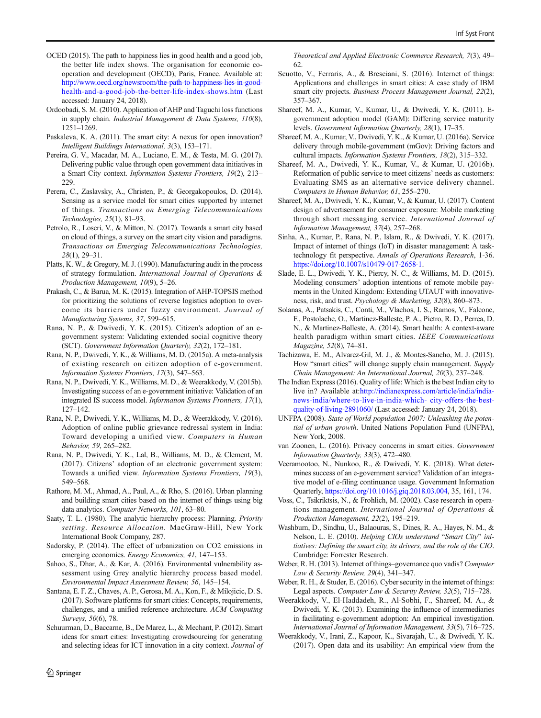- OCED (2015). The path to happiness lies in good health and a good job, the better life index shows. The organisation for economic cooperation and development (OECD), Paris, France. Available at: http://www.oecd.org/newsroom/the-path-to-happiness-lies-in-goodhealth-and-a-good-job-the-better-life-index-shows.htm (Last accessed: January 24, 2018).
- Ordoobadi, S. M. (2010). Application of AHP and Taguchi loss functions in supply chain. Industrial Management & Data Systems, 110(8), 1251–1269.
- Paskaleva, K. A. (2011). The smart city: A nexus for open innovation? Intelligent Buildings International, 3(3), 153–171.
- Pereira, G. V., Macadar, M. A., Luciano, E. M., & Testa, M. G. (2017). Delivering public value through open government data initiatives in a Smart City context. Information Systems Frontiers, 19(2), 213– 229.
- Perera, C., Zaslavsky, A., Christen, P., & Georgakopoulos, D. (2014). Sensing as a service model for smart cities supported by internet of things. Transactions on Emerging Telecommunications Technologies, 25(1), 81–93.
- Petrolo, R., Loscri, V., & Mitton, N. (2017). Towards a smart city based on cloud of things, a survey on the smart city vision and paradigms. Transactions on Emerging Telecommunications Technologies, 28(1), 29–31.
- Platts, K. W., & Gregory, M. J. (1990). Manufacturing audit in the process of strategy formulation. International Journal of Operations & Production Management, 10(9), 5–26.
- Prakash, C., & Barua, M. K. (2015). Integration of AHP-TOPSIS method for prioritizing the solutions of reverse logistics adoption to overcome its barriers under fuzzy environment. Journal of Manufacturing Systems, 37, 599–615.
- Rana, N. P., & Dwivedi, Y. K. (2015). Citizen's adoption of an egovernment system: Validating extended social cognitive theory (SCT). Government Information Quarterly, 32(2), 172–181.
- Rana, N. P., Dwivedi, Y. K., & Williams, M. D. (2015a). A meta-analysis of existing research on citizen adoption of e-government. Information Systems Frontiers, 17(3), 547–563.
- Rana, N. P., Dwivedi, Y. K., Williams, M. D., & Weerakkody, V. (2015b). Investigating success of an e-government initiative: Validation of an integrated IS success model. Information Systems Frontiers, 17(1), 127–142.
- Rana, N. P., Dwivedi, Y. K., Williams, M. D., & Weerakkody, V. (2016). Adoption of online public grievance redressal system in India: Toward developing a unified view. Computers in Human Behavior, 59, 265–282.
- Rana, N. P., Dwivedi, Y. K., Lal, B., Williams, M. D., & Clement, M. (2017). Citizens' adoption of an electronic government system: Towards a unified view. Information Systems Frontiers, 19(3), 549–568.
- Rathore, M. M., Ahmad, A., Paul, A., & Rho, S. (2016). Urban planning and building smart cities based on the internet of things using big data analytics. Computer Networks, 101, 63–80.
- Saaty, T. L. (1980). The analytic hierarchy process: Planning. Priority setting. Resource Allocation. MacGraw-Hill, New York International Book Company, 287.
- Sadorsky, P. (2014). The effect of urbanization on CO2 emissions in emerging economies. Energy Economics, 41, 147-153.
- Sahoo, S., Dhar, A., & Kar, A. (2016). Environmental vulnerability assessment using Grey analytic hierarchy process based model. Environmental Impact Assessment Review, 56, 145–154.
- Santana, E. F. Z., Chaves, A. P., Gerosa, M. A., Kon, F., & Milojicic, D. S. (2017). Software platforms for smart cities: Concepts, requirements, challenges, and a unified reference architecture. ACM Computing Surveys, 50(6), 78.
- Schuurman, D., Baccarne, B., De Marez, L., & Mechant, P. (2012). Smart ideas for smart cities: Investigating crowdsourcing for generating and selecting ideas for ICT innovation in a city context. Journal of

 $\hat{Z}$  Springer

Theoretical and Applied Electronic Commerce Research, 7(3), 49– 62.

- Scuotto, V., Ferraris, A., & Bresciani, S. (2016). Internet of things: Applications and challenges in smart cities: A case study of IBM smart city projects. Business Process Management Journal, 22(2), 357–367.
- Shareef, M. A., Kumar, V., Kumar, U., & Dwivedi, Y. K. (2011). Egovernment adoption model (GAM): Differing service maturity levels. Government Information Quarterly, 28(1), 17–35.
- Shareef, M. A., Kumar, V., Dwivedi, Y. K., & Kumar, U. (2016a). Service delivery through mobile-government (mGov): Driving factors and cultural impacts. Information Systems Frontiers, 18(2), 315–332.
- Shareef, M. A., Dwivedi, Y. K., Kumar, V., & Kumar, U. (2016b). Reformation of public service to meet citizens' needs as customers: Evaluating SMS as an alternative service delivery channel. Computers in Human Behavior, 61, 255–270.
- Shareef, M. A., Dwivedi, Y. K., Kumar, V., & Kumar, U. (2017). Content design of advertisement for consumer exposure: Mobile marketing through short messaging service. International Journal of Information Management, 37(4), 257–268.
- Sinha, A., Kumar, P., Rana, N. P., Islam, R., & Dwivedi, Y. K. (2017). Impact of internet of things (IoT) in disaster management: A tasktechnology fit perspective. Annals of Operations Research, 1-36. https://doi.org/10.1007/s10479-017-2658-1.
- Slade, E. L., Dwivedi, Y. K., Piercy, N. C., & Williams, M. D. (2015). Modeling consumers' adoption intentions of remote mobile payments in the United Kingdom: Extending UTAUT with innovativeness, risk, and trust. Psychology & Marketing, 32(8), 860–873.
- Solanas, A., Patsakis, C., Conti, M., Vlachos, I. S., Ramos, V., Falcone, F., Postolache, O., Martinez-Balleste, P. A., Pietro, R. D., Perrea, D. N., & Martinez-Balleste, A. (2014). Smart health: A context-aware health paradigm within smart cities. IEEE Communications Magazine, 52(8), 74–81.
- Tachizawa, E. M., Alvarez-Gil, M. J., & Montes-Sancho, M. J. (2015). How "smart cities" will change supply chain management. Supply Chain Management: An International Journal, 20(3), 237–248.
- The Indian Express (2016). Quality of life: Which is the best Indian city to live in? Available at:http://indianexpress.com/article/india/indianews-india/where-to-live-in-india-which- city-offers-the-bestquality-of-living-2891060/ (Last accessed: January 24, 2018).
- UNFPA (2008). State of World population 2007: Unleashing the potential of urban growth. United Nations Population Fund (UNFPA), New York, 2008.
- van Zoonen, L. (2016). Privacy concerns in smart cities. Government Information Quarterly, 33(3), 472–480.
- Veeramootoo, N., Nunkoo, R., & Dwivedi, Y. K. (2018). What determines success of an e-government service? Validation of an integrative model of e-filing continuance usage. Government Information Quarterly, https://doi.org/10.1016/j.giq.2018.03.004, 35, 161, 174.
- Voss, C., Tsikriktsis, N., & Frohlich, M. (2002). Case research in operations management. International Journal of Operations & Production Management, 22(2), 195–219.
- Washburn, D., Sindhu, U., Balaouras, S., Dines, R. A., Hayes, N. M., & Nelson, L. E. (2010). Helping CIOs understand "Smart City" initiatives: Defining the smart city, its drivers, and the role of the CIO. Cambridge: Forrester Research.
- Weber, R. H. (2013). Internet of things–governance quo vadis? Computer Law & Security Review, 29(4), 341–347.
- Weber, R. H., & Studer, E. (2016). Cyber security in the internet of things: Legal aspects. Computer Law & Security Review, 32(5), 715–728.
- Weerakkody, V., El-Haddadeh, R., Al-Sobhi, F., Shareef, M. A., & Dwivedi, Y. K. (2013). Examining the influence of intermediaries in facilitating e-government adoption: An empirical investigation. International Journal of Information Management, 33(5), 716–725.
- Weerakkody, V., Irani, Z., Kapoor, K., Sivarajah, U., & Dwivedi, Y. K. (2017). Open data and its usability: An empirical view from the